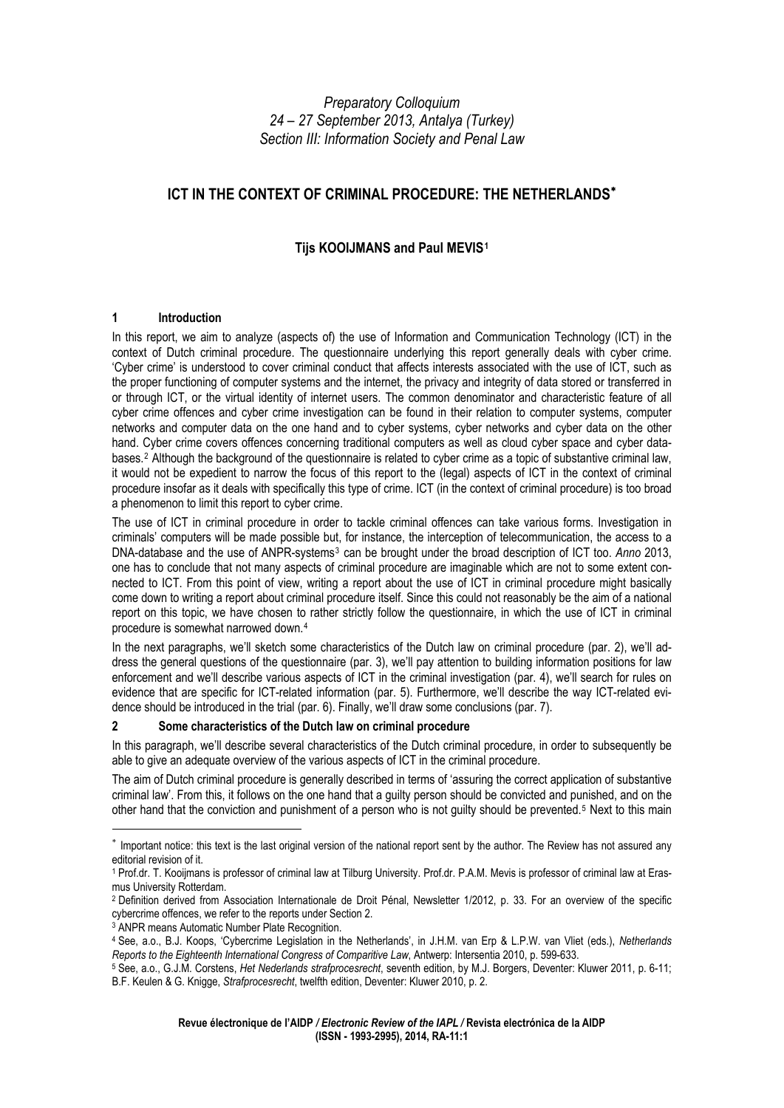# *Preparatory Colloquium 24 – 27 September 2013, Antalya (Turkey) Section III: Information Society and Penal Law*

# **ICT IN THE CONTEXT OF CRIMINAL PROCEDURE: THE NETHERLANDS<sup>\*</sup>**

# **Tijs KOOIJMANS and Paul MEVIS[1](#page-0-1)**

#### **1 Introduction**

In this report, we aim to analyze (aspects of) the use of Information and Communication Technology (ICT) in the context of Dutch criminal procedure. The questionnaire underlying this report generally deals with cyber crime. 'Cyber crime' is understood to cover criminal conduct that affects interests associated with the use of ICT, such as the proper functioning of computer systems and the internet, the privacy and integrity of data stored or transferred in or through ICT, or the virtual identity of internet users. The common denominator and characteristic feature of all cyber crime offences and cyber crime investigation can be found in their relation to computer systems, computer networks and computer data on the one hand and to cyber systems, cyber networks and cyber data on the other hand. Cyber crime covers offences concerning traditional computers as well as cloud cyber space and cyber data-bases.<sup>[2](#page-0-2)</sup> Although the background of the questionnaire is related to cyber crime as a topic of substantive criminal law, it would not be expedient to narrow the focus of this report to the (legal) aspects of ICT in the context of criminal procedure insofar as it deals with specifically this type of crime. ICT (in the context of criminal procedure) is too broad a phenomenon to limit this report to cyber crime.

The use of ICT in criminal procedure in order to tackle criminal offences can take various forms. Investigation in criminals' computers will be made possible but, for instance, the interception of telecommunication, the access to a DNA-database and the use of ANPR-systems[3](#page-0-3) can be brought under the broad description of ICT too. *Anno* 2013, one has to conclude that not many aspects of criminal procedure are imaginable which are not to some extent connected to ICT. From this point of view, writing a report about the use of ICT in criminal procedure might basically come down to writing a report about criminal procedure itself. Since this could not reasonably be the aim of a national report on this topic, we have chosen to rather strictly follow the questionnaire, in which the use of ICT in criminal procedure is somewhat narrowed down.[4](#page-0-4)

In the next paragraphs, we'll sketch some characteristics of the Dutch law on criminal procedure (par. 2), we'll address the general questions of the questionnaire (par. 3), we'll pay attention to building information positions for law enforcement and we'll describe various aspects of ICT in the criminal investigation (par. 4), we'll search for rules on evidence that are specific for ICT-related information (par. 5). Furthermore, we'll describe the way ICT-related evidence should be introduced in the trial (par. 6). Finally, we'll draw some conclusions (par. 7).

# **2 Some characteristics of the Dutch law on criminal procedure**

In this paragraph, we'll describe several characteristics of the Dutch criminal procedure, in order to subsequently be able to give an adequate overview of the various aspects of ICT in the criminal procedure.

The aim of Dutch criminal procedure is generally described in terms of 'assuring the correct application of substantive criminal law'. From this, it follows on the one hand that a guilty person should be convicted and punished, and on the other hand that the conviction and punishment of a person who is not guilty should be prevented.<sup>[5](#page-0-5)</sup> Next to this main

<span id="page-0-0"></span><sup>∗</sup> Important notice: this text is the last original version of the national report sent by the author. The Review has not assured any editorial revision of it.

<span id="page-0-1"></span><sup>1</sup> Prof.dr. T. Kooijmans is professor of criminal law at Tilburg University. Prof.dr. P.A.M. Mevis is professor of criminal law at Erasmus University Rotterdam.

<span id="page-0-2"></span><sup>2</sup> Definition derived from Association Internationale de Droit Pénal, Newsletter 1/2012, p. 33. For an overview of the specific cybercrime offences, we refer to the reports under Section 2.

<sup>&</sup>lt;sup>3</sup> ANPR means Automatic Number Plate Recognition.

<span id="page-0-4"></span><span id="page-0-3"></span><sup>4</sup> See, a.o., B.J. Koops, 'Cybercrime Legislation in the Netherlands', in J.H.M. van Erp & L.P.W. van Vliet (eds.), *Netherlands* 

<span id="page-0-5"></span><sup>&</sup>lt;sup>5</sup> See, a.o., G.J.M. Corstens, Het Nederlands strafprocesrecht, seventh edition, by M.J. Borgers, Deventer: Kluwer 2011, p. 6-11; B.F. Keulen & G. Knigge, *Strafprocesrecht*, twelfth edition, Deventer: Kluwer 2010, p. 2.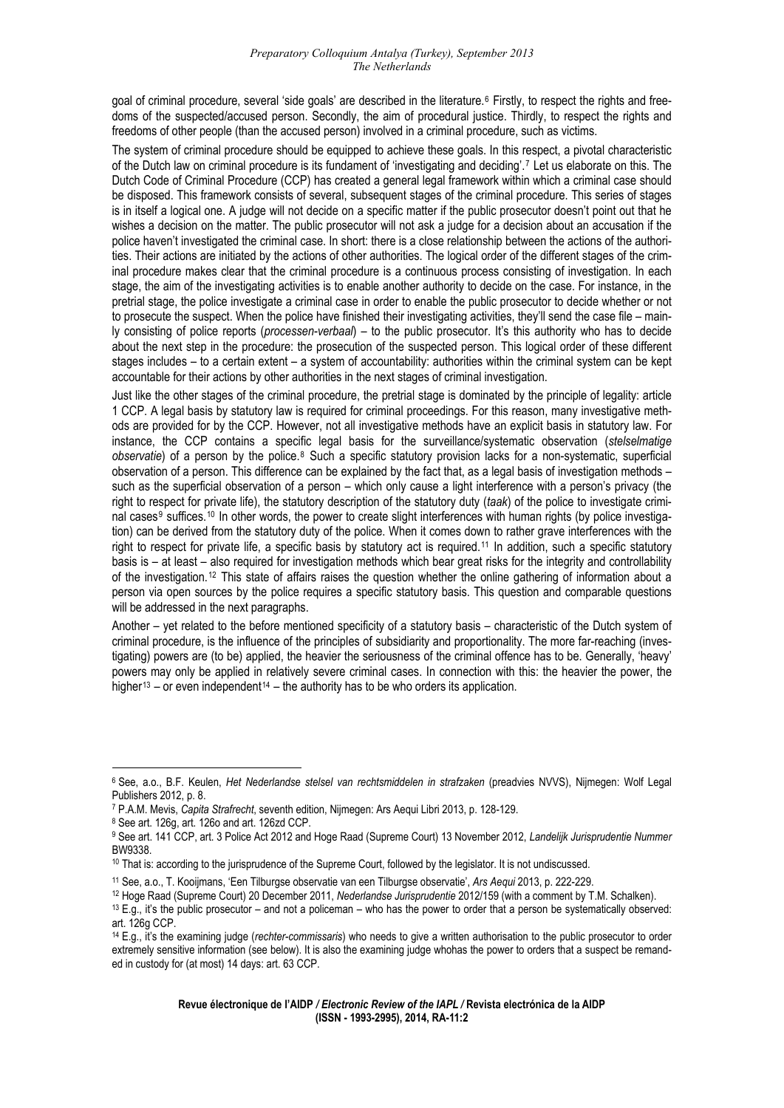goal of criminal procedure, several 'side goals' are described in the literature.<sup>[6](#page-1-0)</sup> Firstly, to respect the rights and freedoms of the suspected/accused person. Secondly, the aim of procedural justice. Thirdly, to respect the rights and freedoms of other people (than the accused person) involved in a criminal procedure, such as victims.

The system of criminal procedure should be equipped to achieve these goals. In this respect, a pivotal characteristic of the Dutch law on criminal procedure is its fundament of 'investigating and deciding'.[7](#page-1-1) Let us elaborate on this. The Dutch Code of Criminal Procedure (CCP) has created a general legal framework within which a criminal case should be disposed. This framework consists of several, subsequent stages of the criminal procedure. This series of stages is in itself a logical one. A judge will not decide on a specific matter if the public prosecutor doesn't point out that he wishes a decision on the matter. The public prosecutor will not ask a judge for a decision about an accusation if the police haven't investigated the criminal case. In short: there is a close relationship between the actions of the authorities. Their actions are initiated by the actions of other authorities. The logical order of the different stages of the criminal procedure makes clear that the criminal procedure is a continuous process consisting of investigation. In each stage, the aim of the investigating activities is to enable another authority to decide on the case. For instance, in the pretrial stage, the police investigate a criminal case in order to enable the public prosecutor to decide whether or not to prosecute the suspect. When the police have finished their investigating activities, they'll send the case file – mainly consisting of police reports (*processen-verbaal*) – to the public prosecutor. It's this authority who has to decide about the next step in the procedure: the prosecution of the suspected person. This logical order of these different stages includes – to a certain extent – a system of accountability: authorities within the criminal system can be kept accountable for their actions by other authorities in the next stages of criminal investigation.

Just like the other stages of the criminal procedure, the pretrial stage is dominated by the principle of legality: article 1 CCP. A legal basis by statutory law is required for criminal proceedings. For this reason, many investigative methods are provided for by the CCP. However, not all investigative methods have an explicit basis in statutory law. For instance, the CCP contains a specific legal basis for the surveillance/systematic observation (*stelselmatige observatie*) of a person by the police.[8](#page-1-2) Such a specific statutory provision lacks for a non-systematic, superficial observation of a person. This difference can be explained by the fact that, as a legal basis of investigation methods – such as the superficial observation of a person – which only cause a light interference with a person's privacy (the right to respect for private life), the statutory description of the statutory duty (*taak*) of the police to investigate crimi-nal cases<sup>[9](#page-1-3)</sup> suffices.<sup>[10](#page-1-4)</sup> In other words, the power to create slight interferences with human rights (by police investigation) can be derived from the statutory duty of the police. When it comes down to rather grave interferences with the right to respect for private life, a specific basis by statutory act is required.[11](#page-1-5) In addition, such a specific statutory basis is – at least – also required for investigation methods which bear great risks for the integrity and controllability of the investigation.[12](#page-1-6) This state of affairs raises the question whether the online gathering of information about a person via open sources by the police requires a specific statutory basis. This question and comparable questions will be addressed in the next paragraphs.

Another – yet related to the before mentioned specificity of a statutory basis – characteristic of the Dutch system of criminal procedure, is the influence of the principles of subsidiarity and proportionality. The more far-reaching (investigating) powers are (to be) applied, the heavier the seriousness of the criminal offence has to be. Generally, 'heavy' powers may only be applied in relatively severe criminal cases. In connection with this: the heavier the power, the higher<sup>[13](#page-1-7)</sup> – or even independent<sup>[14](#page-1-8)</sup> – the authority has to be who orders its application.

<span id="page-1-0"></span><sup>6</sup> See, a.o., B.F. Keulen, *Het Nederlandse stelsel van rechtsmiddelen in strafzaken* (preadvies NVVS), Nijmegen: Wolf Legal Publishers 2012, p. 8.

<span id="page-1-1"></span><sup>&</sup>lt;sup>7</sup> P.A.M. Mevis, *Capita Strafrecht*, seventh edition, Nijmegen: Ars Aequi Libri 2013, p. 128-129.<br><sup>8</sup> See art. 126g, art. 126o and art. 126zd CCP.

<span id="page-1-3"></span><span id="page-1-2"></span><sup>9</sup> See art. 141 CCP, art. 3 Police Act 2012 and Hoge Raad (Supreme Court) 13 November 2012, *Landelijk Jurisprudentie Nummer* BW9338.

<span id="page-1-4"></span><sup>10</sup> That is: according to the jurisprudence of the Supreme Court, followed by the legislator. It is not undiscussed.

<span id="page-1-6"></span><span id="page-1-5"></span><sup>&</sup>lt;sup>11</sup> See, a.o., T. Kooijmans, 'Een Tilburgse observatie van een Tilburgse observatie', *Ars Aequi* 2013, p. 222-229.<br><sup>12</sup> Hoge Raad (Supreme Court) 20 December 2011, Nederlandse Jurisprudentie 2012/159 (with a comment by art. 126g CCP.

<span id="page-1-8"></span><span id="page-1-7"></span><sup>14</sup> E.g., it's the examining judge (*rechter-commissaris*) who needs to give a written authorisation to the public prosecutor to order extremely sensitive information (see below). It is also the examining judge whohas the power to orders that a suspect be remanded in custody for (at most) 14 days: art. 63 CCP.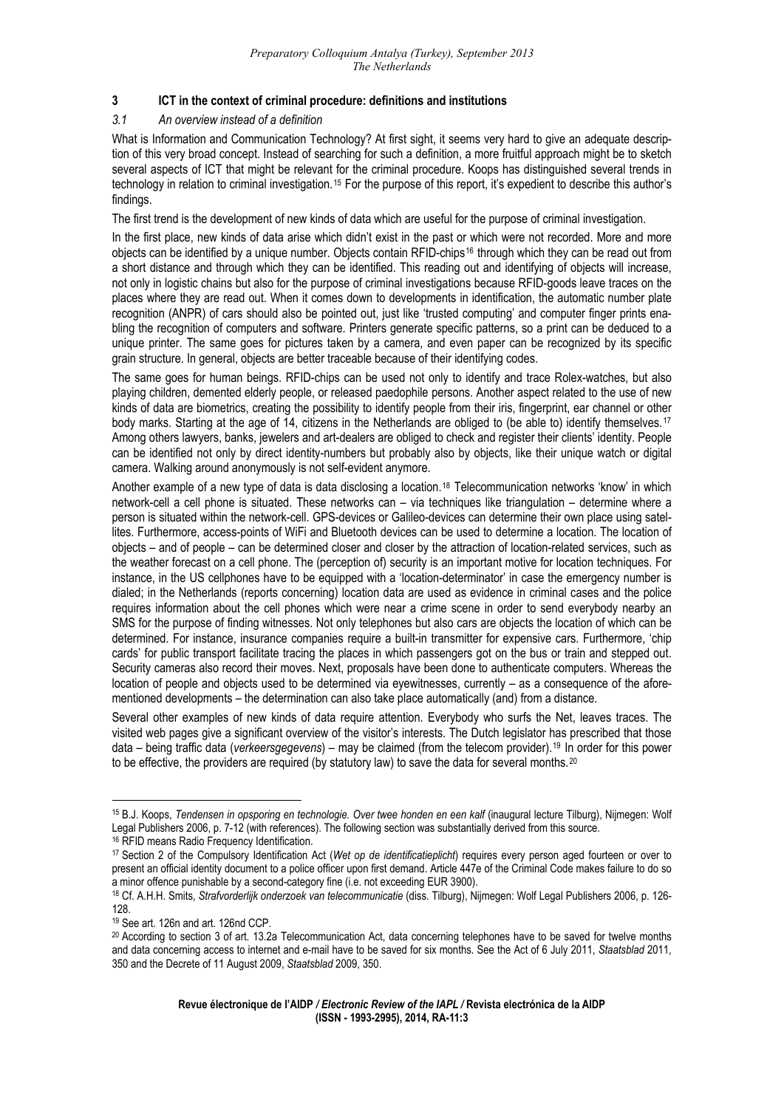# **3 ICT in the context of criminal procedure: definitions and institutions**

#### *3.1 An overview instead of a definition*

What is Information and Communication Technology? At first sight, it seems very hard to give an adequate description of this very broad concept. Instead of searching for such a definition, a more fruitful approach might be to sketch several aspects of ICT that might be relevant for the criminal procedure. Koops has distinguished several trends in technology in relation to criminal investigation.[15](#page-2-0) For the purpose of this report, it's expedient to describe this author's findings.

The first trend is the development of new kinds of data which are useful for the purpose of criminal investigation.

In the first place, new kinds of data arise which didn't exist in the past or which were not recorded. More and more objects can be identified by a unique number. Objects contain RFID-chips[16](#page-2-1) through which they can be read out from a short distance and through which they can be identified. This reading out and identifying of objects will increase, not only in logistic chains but also for the purpose of criminal investigations because RFID-goods leave traces on the places where they are read out. When it comes down to developments in identification, the automatic number plate recognition (ANPR) of cars should also be pointed out, just like 'trusted computing' and computer finger prints enabling the recognition of computers and software. Printers generate specific patterns, so a print can be deduced to a unique printer. The same goes for pictures taken by a camera, and even paper can be recognized by its specific grain structure. In general, objects are better traceable because of their identifying codes.

The same goes for human beings. RFID-chips can be used not only to identify and trace Rolex-watches, but also playing children, demented elderly people, or released paedophile persons. Another aspect related to the use of new kinds of data are biometrics, creating the possibility to identify people from their iris, fingerprint, ear channel or other body marks. Starting at the age of 14, citizens in the Netherlands are obliged to (be able to) identify themselves.[17](#page-2-2) Among others lawyers, banks, jewelers and art-dealers are obliged to check and register their clients' identity. People can be identified not only by direct identity-numbers but probably also by objects, like their unique watch or digital camera. Walking around anonymously is not self-evident anymore.

Another example of a new type of data is data disclosing a location.[18](#page-2-3) Telecommunication networks 'know' in which network-cell a cell phone is situated. These networks can – via techniques like triangulation – determine where a person is situated within the network-cell. GPS-devices or Galileo-devices can determine their own place using satellites. Furthermore, access-points of WiFi and Bluetooth devices can be used to determine a location. The location of objects – and of people – can be determined closer and closer by the attraction of location-related services, such as the weather forecast on a cell phone. The (perception of) security is an important motive for location techniques. For instance, in the US cellphones have to be equipped with a 'location-determinator' in case the emergency number is dialed; in the Netherlands (reports concerning) location data are used as evidence in criminal cases and the police requires information about the cell phones which were near a crime scene in order to send everybody nearby an SMS for the purpose of finding witnesses. Not only telephones but also cars are objects the location of which can be determined. For instance, insurance companies require a built-in transmitter for expensive cars. Furthermore, 'chip cards' for public transport facilitate tracing the places in which passengers got on the bus or train and stepped out. Security cameras also record their moves. Next, proposals have been done to authenticate computers. Whereas the location of people and objects used to be determined via eyewitnesses, currently – as a consequence of the aforementioned developments – the determination can also take place automatically (and) from a distance.

Several other examples of new kinds of data require attention. Everybody who surfs the Net, leaves traces. The visited web pages give a significant overview of the visitor's interests. The Dutch legislator has prescribed that those data – being traffic data (*verkeersgegevens*) – may be claimed (from the telecom provider).[19](#page-2-4) In order for this power to be effective, the providers are required (by statutory law) to save the data for several months.<sup>[20](#page-2-5)</sup>

<span id="page-2-0"></span><sup>15</sup> B.J. Koops, *Tendensen in opsporing en technologie. Over twee honden en een kalf* (inaugural lecture Tilburg), Nijmegen: Wolf Legal Publishers 2006, p. 7-12 (with references). The following section was substantially derived from this source.

<span id="page-2-1"></span><sup>&</sup>lt;sup>16</sup> RFID means Radio Frequency Identification.

<span id="page-2-2"></span><sup>17</sup> Section 2 of the Compulsory Identification Act (*Wet op de identificatieplicht*) requires every person aged fourteen or over to present an official identity document to a police officer upon first demand. Article 447e of the Criminal Code makes failure to do so a minor offence punishable by a second-category fine (i.e. not exceeding EUR 3900).

<span id="page-2-3"></span><sup>18</sup> Cf. A.H.H. Smits, *Strafvorderlijk onderzoek van telecommunicatie* (diss. Tilburg), Nijmegen: Wolf Legal Publishers 2006, p. 126- 128.

<sup>19</sup> See art. 126n and art. 126nd CCP.

<span id="page-2-5"></span><span id="page-2-4"></span><sup>20</sup> According to section 3 of art. 13.2a Telecommunication Act, data concerning telephones have to be saved for twelve months and data concerning access to internet and e-mail have to be saved for six months. See the Act of 6 July 2011, *Staatsblad* 2011, 350 and the Decrete of 11 August 2009, *Staatsblad* 2009, 350.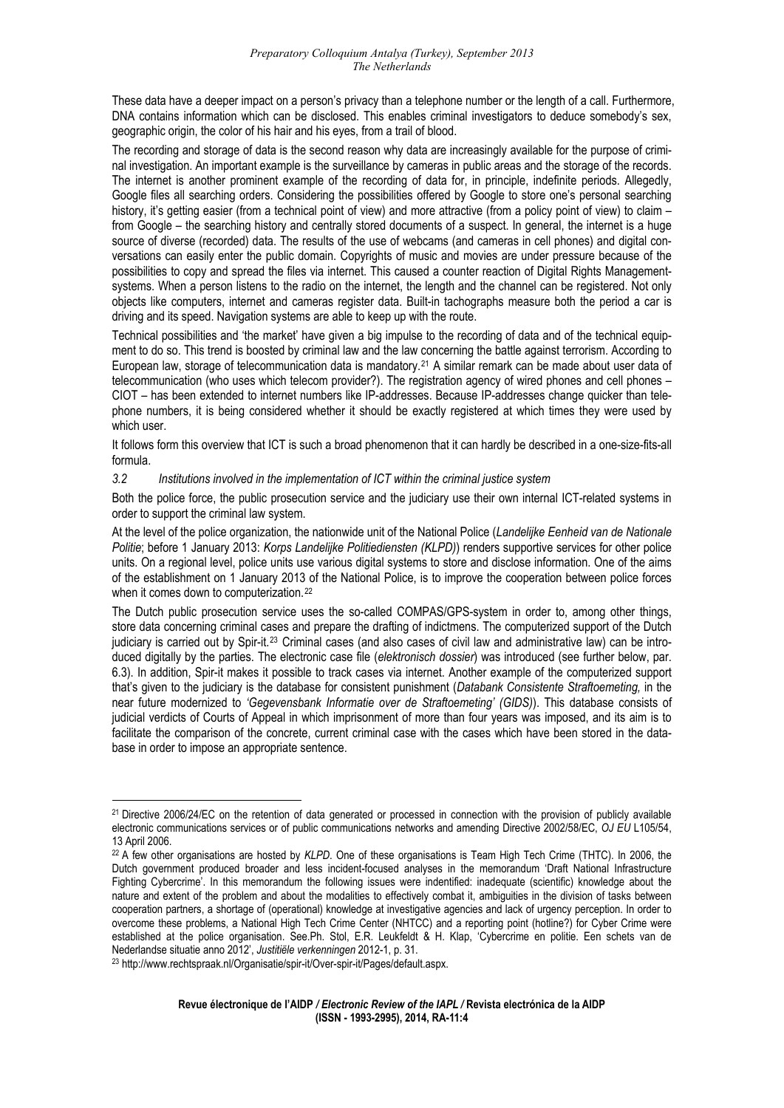These data have a deeper impact on a person's privacy than a telephone number or the length of a call. Furthermore, DNA contains information which can be disclosed. This enables criminal investigators to deduce somebody's sex, geographic origin, the color of his hair and his eyes, from a trail of blood.

The recording and storage of data is the second reason why data are increasingly available for the purpose of criminal investigation. An important example is the surveillance by cameras in public areas and the storage of the records. The internet is another prominent example of the recording of data for, in principle, indefinite periods. Allegedly, Google files all searching orders. Considering the possibilities offered by Google to store one's personal searching history, it's getting easier (from a technical point of view) and more attractive (from a policy point of view) to claim – from Google – the searching history and centrally stored documents of a suspect. In general, the internet is a huge source of diverse (recorded) data. The results of the use of webcams (and cameras in cell phones) and digital conversations can easily enter the public domain. Copyrights of music and movies are under pressure because of the possibilities to copy and spread the files via internet. This caused a counter reaction of Digital Rights Managementsystems. When a person listens to the radio on the internet, the length and the channel can be registered. Not only objects like computers, internet and cameras register data. Built-in tachographs measure both the period a car is driving and its speed. Navigation systems are able to keep up with the route.

Technical possibilities and 'the market' have given a big impulse to the recording of data and of the technical equipment to do so. This trend is boosted by criminal law and the law concerning the battle against terrorism. According to European law, storage of telecommunication data is mandatory.[21](#page-3-0) A similar remark can be made about user data of telecommunication (who uses which telecom provider?). The registration agency of wired phones and cell phones – CIOT – has been extended to internet numbers like IP-addresses. Because IP-addresses change quicker than telephone numbers, it is being considered whether it should be exactly registered at which times they were used by which user.

It follows form this overview that ICT is such a broad phenomenon that it can hardly be described in a one-size-fits-all formula.

#### *3.2 Institutions involved in the implementation of ICT within the criminal justice system*

Both the police force, the public prosecution service and the judiciary use their own internal ICT-related systems in order to support the criminal law system.

At the level of the police organization, the nationwide unit of the National Police (*Landelijke Eenheid van de Nationale Politie*; before 1 January 2013: *Korps Landelijke Politiediensten (KLPD)*) renders supportive services for other police units. On a regional level, police units use various digital systems to store and disclose information. One of the aims of the establishment on 1 January 2013 of the National Police, is to improve the cooperation between police forces when it comes down to computerization.<sup>[22](#page-3-1)</sup>

The Dutch public prosecution service uses the so-called COMPAS/GPS-system in order to, among other things, store data concerning criminal cases and prepare the drafting of indictmens. The computerized support of the Dutch judiciary is carried out by Spir-it.<sup>[23](#page-3-2)</sup> Criminal cases (and also cases of civil law and administrative law) can be introduced digitally by the parties. The electronic case file (*elektronisch dossier*) was introduced (see further below, par. 6.3). In addition, Spir-it makes it possible to track cases via internet. Another example of the computerized support that's given to the judiciary is the database for consistent punishment (*Databank Consistente Straftoemeting,* in the near future modernized to *'Gegevensbank Informatie over de Straftoemeting' (GIDS)*). This database consists of judicial verdicts of Courts of Appeal in which imprisonment of more than four years was imposed, and its aim is to facilitate the comparison of the concrete, current criminal case with the cases which have been stored in the database in order to impose an appropriate sentence.

<span id="page-3-0"></span><sup>21</sup> Directive 2006/24/EC on the retention of data generated or processed in connection with the provision of publicly available electronic communications services or of public communications networks and amending Directive 2002/58/EC, *OJ EU* L105/54, 13 April 2006.

<span id="page-3-1"></span><sup>22</sup> A few other organisations are hosted by *KLPD*. One of these organisations is Team High Tech Crime (THTC). In 2006, the Dutch government produced broader and less incident-focused analyses in the memorandum 'Draft National Infrastructure Fighting Cybercrime'. In this memorandum the following issues were indentified: inadequate (scientific) knowledge about the nature and extent of the problem and about the modalities to effectively combat it, ambiguities in the division of tasks between cooperation partners, a shortage of (operational) knowledge at investigative agencies and lack of urgency perception. In order to overcome these problems, a National High Tech Crime Center (NHTCC) and a reporting point (hotline?) for Cyber Crime were established at the police organisation. See.Ph. Stol, E.R. Leukfeldt & H. Klap, 'Cybercrime en politie. Een schets van de Nederlandse situatie anno 2012', *Justitiële verkenningen* 2012-1, p. 31.<br><sup>23</sup> http://www.rechtspraak.nl/Organisatie/spir-it/Over-spir-it/Pages/default.aspx.

<span id="page-3-2"></span>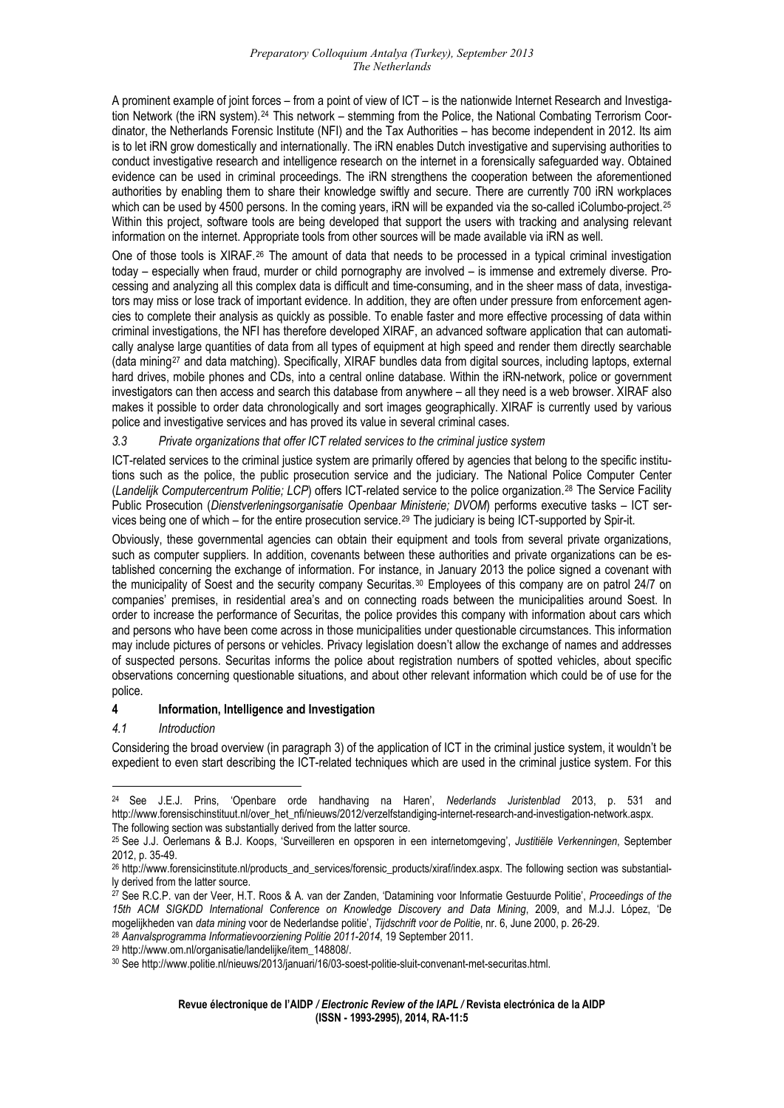A prominent example of joint forces – from a point of view of ICT – is the nationwide Internet Research and Investiga-tion Network (the iRN system).<sup>[24](#page-4-0)</sup> This network – stemming from the Police, the National Combating Terrorism Coordinator, the Netherlands Forensic Institute (NFI) and the Tax Authorities – has become independent in 2012. Its aim is to let iRN grow domestically and internationally. The iRN enables Dutch investigative and supervising authorities to conduct investigative research and intelligence research on the internet in a forensically safeguarded way. Obtained evidence can be used in criminal proceedings. The iRN strengthens the cooperation between the aforementioned authorities by enabling them to share their knowledge swiftly and secure. There are currently 700 iRN workplaces which can be used by 4500 persons. In the coming years, iRN will be expanded via the so-called iColumbo-project.<sup>[25](#page-4-1)</sup> Within this project, software tools are being developed that support the users with tracking and analysing relevant information on the internet. Appropriate tools from other sources will be made available via iRN as well.

One of those tools is XIRAF.<sup>[26](#page-4-2)</sup> The amount of data that needs to be processed in a typical criminal investigation today – especially when fraud, murder or child pornography are involved – is immense and extremely diverse. Processing and analyzing all this complex data is difficult and time-consuming, and in the sheer mass of data, investigators may miss or lose track of important evidence. In addition, they are often under pressure from enforcement agencies to complete their analysis as quickly as possible. To enable faster and more effective processing of data within criminal investigations, the NFI has therefore developed XIRAF, an advanced software application that can automatically analyse large quantities of data from all types of equipment at high speed and render them directly searchable (data mining[27](#page-4-3) and data matching). Specifically, XIRAF bundles data from digital sources, including laptops, external hard drives, mobile phones and CDs, into a central online database. Within the iRN-network, police or government investigators can then access and search this database from anywhere – all they need is a web browser. XIRAF also makes it possible to order data chronologically and sort images geographically. XIRAF is currently used by various police and investigative services and has proved its value in several criminal cases.

# *3.3 Private organizations that offer ICT related services to the criminal justice system*

ICT-related services to the criminal justice system are primarily offered by agencies that belong to the specific institutions such as the police, the public prosecution service and the judiciary. The National Police Computer Center (*Landelijk Computercentrum Politie; LCP*) offers ICT-related service to the police organization.[28](#page-4-4) The Service Facility Public Prosecution (*Dienstverleningsorganisatie Openbaar Ministerie; DVOM*) performs executive tasks – ICT ser-vices being one of which – for the entire prosecution service.<sup>[29](#page-4-5)</sup> The judiciary is being ICT-supported by Spir-it.

Obviously, these governmental agencies can obtain their equipment and tools from several private organizations, such as computer suppliers. In addition, covenants between these authorities and private organizations can be established concerning the exchange of information. For instance, in January 2013 the police signed a covenant with the municipality of Soest and the security company Securitas.<sup>[30](#page-4-6)</sup> Employees of this company are on patrol 24/7 on companies' premises, in residential area's and on connecting roads between the municipalities around Soest. In order to increase the performance of Securitas, the police provides this company with information about cars which and persons who have been come across in those municipalities under questionable circumstances. This information may include pictures of persons or vehicles. Privacy legislation doesn't allow the exchange of names and addresses of suspected persons. Securitas informs the police about registration numbers of spotted vehicles, about specific observations concerning questionable situations, and about other relevant information which could be of use for the police.

# **4 Information, Intelligence and Investigation**

# *4.1 Introduction*

<u>.</u>

Considering the broad overview (in paragraph 3) of the application of ICT in the criminal justice system, it wouldn't be expedient to even start describing the ICT-related techniques which are used in the criminal justice system. For this

<span id="page-4-0"></span><sup>24</sup> See J.E.J. Prins, 'Openbare orde handhaving na Haren', *Nederlands Juristenblad* 2013, p. 531 and http://www.forensischinstituut.nl/over\_het\_nfi/nieuws/2012/verzelfstandiging-internet-research-and-investigation-network.aspx. The following section was substantially derived from the latter source.

<span id="page-4-1"></span><sup>25</sup> See J.J. Oerlemans & B.J. Koops, 'Surveilleren en opsporen in een internetomgeving', *Justitiële Verkenningen*, September 2012, p. 35-49.

<span id="page-4-2"></span><sup>&</sup>lt;sup>26</sup> http://www.forensicinstitute.nl/products\_and\_services/forensic\_products/xiraf/index.aspx. The following section was substantially derived from the latter source.

<span id="page-4-3"></span><sup>27</sup> See R.C.P. van der Veer, H.T. Roos & A. van der Zanden, 'Datamining voor Informatie Gestuurde Politie', *Proceedings of the 15th ACM SIGKDD International Conference on Knowledge Discovery and Data Mining*, 2009, and M.J.J. López, 'De mogelijkheden van *data mining* voor de Nederlandse politie', Tijdschrift voor de Politie, nr. 6, June 2000, p. 26-29.<br><sup>28</sup> Aanvalsprogramma Informatievoorziening Politie 2011-2014, 19 September 2011.<br><sup>29</sup> http://www.om.nl

<span id="page-4-4"></span>

<span id="page-4-5"></span>

<span id="page-4-6"></span>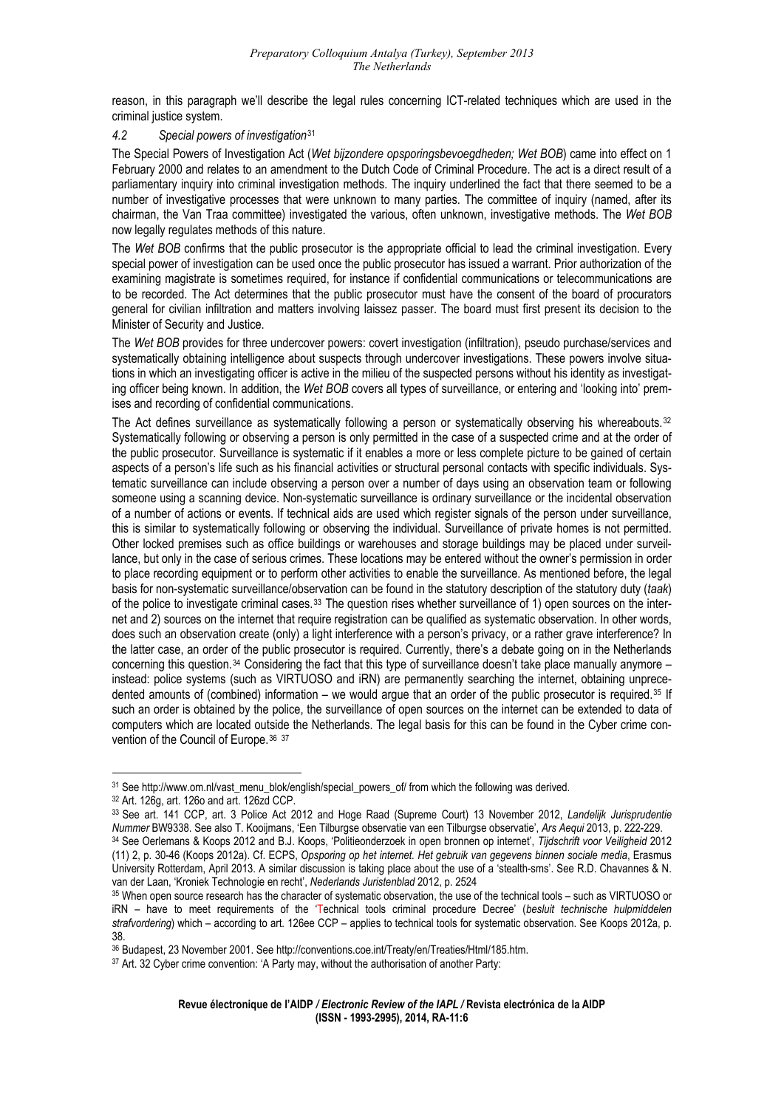reason, in this paragraph we'll describe the legal rules concerning ICT-related techniques which are used in the criminal justice system.

#### *4.2 Special powers of investigation*[31](#page-5-0)

The Special Powers of Investigation Act (*Wet bijzondere opsporingsbevoegdheden; Wet BOB*) came into effect on 1 February 2000 and relates to an amendment to the Dutch Code of Criminal Procedure. The act is a direct result of a parliamentary inquiry into criminal investigation methods. The inquiry underlined the fact that there seemed to be a number of investigative processes that were unknown to many parties. The committee of inquiry (named, after its chairman, the Van Traa committee) investigated the various, often unknown, investigative methods. The *Wet BOB* now legally regulates methods of this nature.

The *Wet BOB* confirms that the public prosecutor is the appropriate official to lead the criminal investigation. Every special power of investigation can be used once the public prosecutor has issued a warrant. Prior authorization of the examining magistrate is sometimes required, for instance if confidential communications or telecommunications are to be recorded. The Act determines that the public prosecutor must have the consent of the board of procurators general for civilian infiltration and matters involving laissez passer. The board must first present its decision to the Minister of Security and Justice.

The *Wet BOB* provides for three undercover powers: covert investigation (infiltration), pseudo purchase/services and systematically obtaining intelligence about suspects through undercover investigations. These powers involve situations in which an investigating officer is active in the milieu of the suspected persons without his identity as investigating officer being known. In addition, the *Wet BOB* covers all types of surveillance, or entering and 'looking into' premises and recording of confidential communications.

The Act defines surveillance as systematically following a person or systematically observing his whereabouts.<sup>[32](#page-5-1)</sup> Systematically following or observing a person is only permitted in the case of a suspected crime and at the order of the public prosecutor. Surveillance is systematic if it enables a more or less complete picture to be gained of certain aspects of a person's life such as his financial activities or structural personal contacts with specific individuals. Systematic surveillance can include observing a person over a number of days using an observation team or following someone using a scanning device. Non-systematic surveillance is ordinary surveillance or the incidental observation of a number of actions or events. If technical aids are used which register signals of the person under surveillance, this is similar to systematically following or observing the individual. Surveillance of private homes is not permitted. Other locked premises such as office buildings or warehouses and storage buildings may be placed under surveillance, but only in the case of serious crimes. These locations may be entered without the owner's permission in order to place recording equipment or to perform other activities to enable the surveillance. As mentioned before, the legal basis for non-systematic surveillance/observation can be found in the statutory description of the statutory duty (*taak*) of the police to investigate criminal cases.[33](#page-5-2) The question rises whether surveillance of 1) open sources on the internet and 2) sources on the internet that require registration can be qualified as systematic observation. In other words, does such an observation create (only) a light interference with a person's privacy, or a rather grave interference? In the latter case, an order of the public prosecutor is required. Currently, there's a debate going on in the Netherlands concerning this question.[34](#page-5-3) Considering the fact that this type of surveillance doesn't take place manually anymore – instead: police systems (such as VIRTUOSO and iRN) are permanently searching the internet, obtaining unprece-dented amounts of (combined) information – we would argue that an order of the public prosecutor is required.<sup>[35](#page-5-4)</sup> If such an order is obtained by the police, the surveillance of open sources on the internet can be extended to data of computers which are located outside the Netherlands. The legal basis for this can be found in the Cyber crime con-vention of the Council of Europe. [36](#page-5-5) [37](#page-5-6)

<span id="page-5-0"></span><sup>1</sup> 31 See http://www.om.nl/vast\_menu\_blok/english/special\_powers\_of/ from which the following was derived. 32 Art. 126g, art. 126o and art. 126zd CCP.

<span id="page-5-1"></span>

<span id="page-5-3"></span><span id="page-5-2"></span><sup>33</sup> See art. 141 CCP, art. 3 Police Act 2012 and Hoge Raad (Supreme Court) 13 November 2012, *Landelijk Jurisprudentie*  34 See Oerlemans & Koops 2012 and B.J. Koops, 'Politieonderzoek in open bronnen op internet', Tijdschrift voor Veiligheid 2012 (11) 2, p. 30-46 (Koops 2012a). Cf. ECPS, *Opsporing op het internet. Het gebruik van gegevens binnen sociale media*, Erasmus University Rotterdam, April 2013. A similar discussion is taking place about the use of a 'stealth-sms'. See R.D. Chavannes & N. van der Laan, 'Kroniek Technologie en recht', *Nederlands Juristenblad* 2012, p. 2524<br><sup>35</sup> When open source research has the character of systematic observation, the use of the technical tools – such as VIRTUOSO or

<span id="page-5-4"></span>iRN – have to meet requirements of the 'Technical tools criminal procedure Decree' (*besluit technische hulpmiddelen strafvordering*) which – according to art. 126ee CCP – applies to technical tools for systematic observation. See Koops 2012a, p. 38.

<span id="page-5-5"></span><sup>36</sup> Budapest, 23 November 2001. See http://conventions.coe.int/Treaty/en/Treaties/Html/185.htm.

<span id="page-5-6"></span><sup>&</sup>lt;sup>37</sup> Art. 32 Cyber crime convention: 'A Party may, without the authorisation of another Party: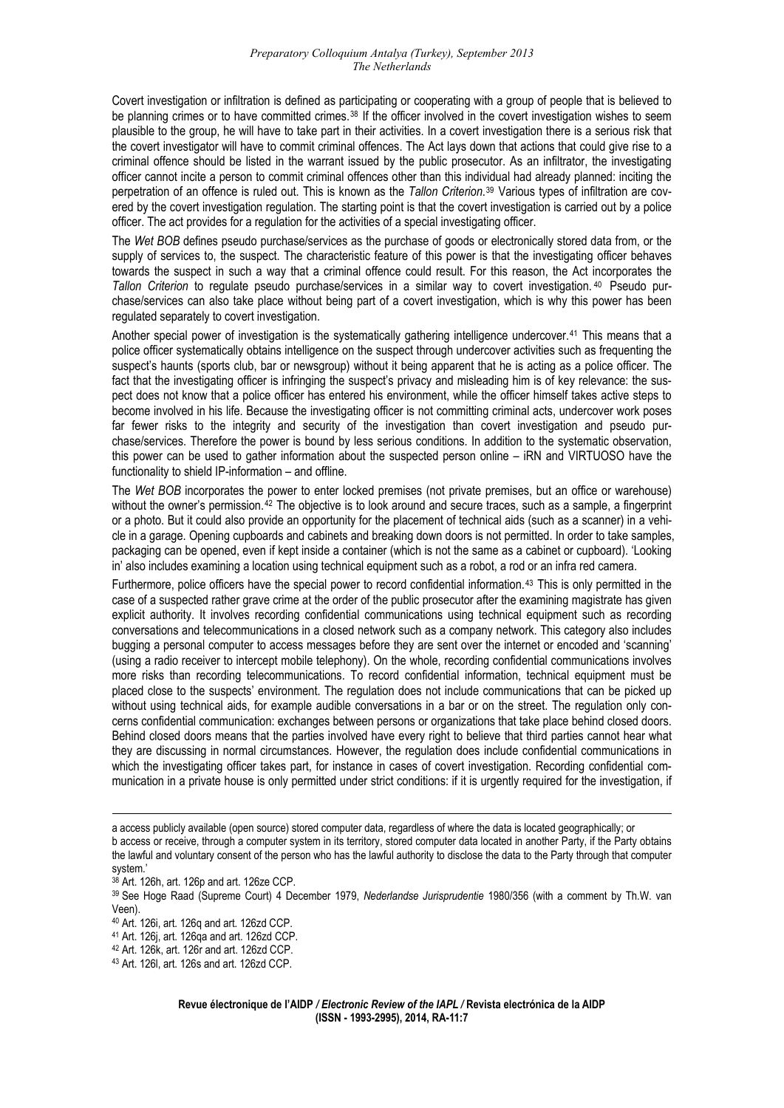Covert investigation or infiltration is defined as participating or cooperating with a group of people that is believed to be planning crimes or to have committed crimes.<sup>[38](#page-6-0)</sup> If the officer involved in the covert investigation wishes to seem plausible to the group, he will have to take part in their activities. In a covert investigation there is a serious risk that the covert investigator will have to commit criminal offences. The Act lays down that actions that could give rise to a criminal offence should be listed in the warrant issued by the public prosecutor. As an infiltrator, the investigating officer cannot incite a person to commit criminal offences other than this individual had already planned: inciting the perpetration of an offence is ruled out. This is known as the *Tallon Criterion*.[39](#page-6-1) Various types of infiltration are covered by the covert investigation regulation. The starting point is that the covert investigation is carried out by a police officer. The act provides for a regulation for the activities of a special investigating officer.

The *Wet BOB* defines pseudo purchase/services as the purchase of goods or electronically stored data from, or the supply of services to, the suspect. The characteristic feature of this power is that the investigating officer behaves towards the suspect in such a way that a criminal offence could result. For this reason, the Act incorporates the *Tallon Criterion* to regulate pseudo purchase/services in a similar way to covert investigation. [40](#page-6-2) Pseudo purchase/services can also take place without being part of a covert investigation, which is why this power has been regulated separately to covert investigation.

Another special power of investigation is the systematically gathering intelligence undercover.[41](#page-6-3) This means that a police officer systematically obtains intelligence on the suspect through undercover activities such as frequenting the suspect's haunts (sports club, bar or newsgroup) without it being apparent that he is acting as a police officer. The fact that the investigating officer is infringing the suspect's privacy and misleading him is of key relevance: the suspect does not know that a police officer has entered his environment, while the officer himself takes active steps to become involved in his life. Because the investigating officer is not committing criminal acts, undercover work poses far fewer risks to the integrity and security of the investigation than covert investigation and pseudo purchase/services. Therefore the power is bound by less serious conditions. In addition to the systematic observation, this power can be used to gather information about the suspected person online – iRN and VIRTUOSO have the functionality to shield IP-information – and offline.

The *Wet BOB* incorporates the power to enter locked premises (not private premises, but an office or warehouse) without the owner's permission.<sup>[42](#page-6-4)</sup> The objective is to look around and secure traces, such as a sample, a fingerprint or a photo. But it could also provide an opportunity for the placement of technical aids (such as a scanner) in a vehicle in a garage. Opening cupboards and cabinets and breaking down doors is not permitted. In order to take samples, packaging can be opened, even if kept inside a container (which is not the same as a cabinet or cupboard). 'Looking in' also includes examining a location using technical equipment such as a robot, a rod or an infra red camera.

Furthermore, police officers have the special power to record confidential information.<sup>43</sup> This is only permitted in the case of a suspected rather grave crime at the order of the public prosecutor after the examining magistrate has given explicit authority. It involves recording confidential communications using technical equipment such as recording conversations and telecommunications in a closed network such as a company network. This category also includes bugging a personal computer to access messages before they are sent over the internet or encoded and 'scanning' (using a radio receiver to intercept mobile telephony). On the whole, recording confidential communications involves more risks than recording telecommunications. To record confidential information, technical equipment must be placed close to the suspects' environment. The regulation does not include communications that can be picked up without using technical aids, for example audible conversations in a bar or on the street. The regulation only concerns confidential communication: exchanges between persons or organizations that take place behind closed doors. Behind closed doors means that the parties involved have every right to believe that third parties cannot hear what they are discussing in normal circumstances. However, the regulation does include confidential communications in which the investigating officer takes part, for instance in cases of covert investigation. Recording confidential communication in a private house is only permitted under strict conditions: if it is urgently required for the investigation, if

a access publicly available (open source) stored computer data, regardless of where the data is located geographically; or b access or receive, through a computer system in its territory, stored computer data located in another Party, if the Party obtains the lawful and voluntary consent of the person who has the lawful authority to disclose the data to the Party through that computer system.'

<sup>38</sup> Art. 126h, art. 126p and art. 126ze CCP.

<span id="page-6-1"></span><span id="page-6-0"></span><sup>39</sup> See Hoge Raad (Supreme Court) 4 December 1979, *Nederlandse Jurisprudentie* 1980/356 (with a comment by Th.W. van Veen).

<sup>40</sup> Art. 126i, art. 126q and art. 126zd CCP.

<span id="page-6-3"></span><span id="page-6-2"></span><sup>41</sup> Art. 126j, art. 126qa and art. 126zd CCP.

<span id="page-6-4"></span><sup>42</sup> Art. 126k, art. 126r and art. 126zd CCP.

<sup>43</sup> Art. 126l, art. 126s and art. 126zd CCP.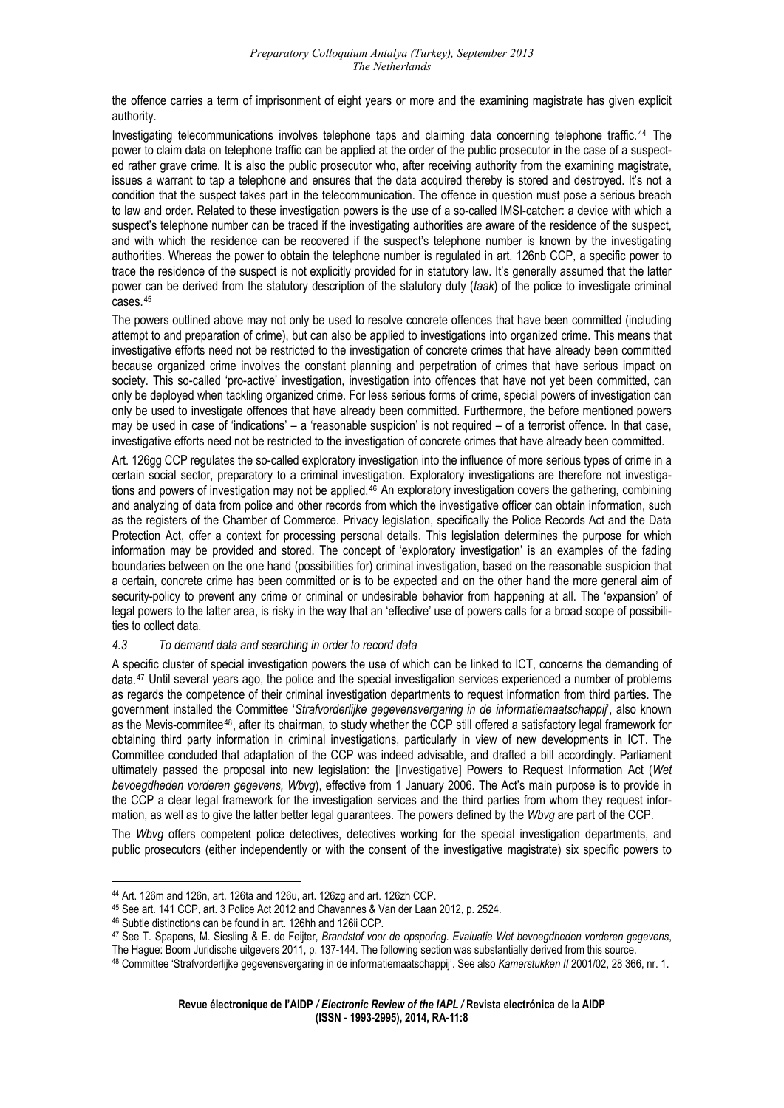the offence carries a term of imprisonment of eight years or more and the examining magistrate has given explicit authority.

Investigating telecommunications involves telephone taps and claiming data concerning telephone traffic.<sup>44</sup> The power to claim data on telephone traffic can be applied at the order of the public prosecutor in the case of a suspected rather grave crime. It is also the public prosecutor who, after receiving authority from the examining magistrate, issues a warrant to tap a telephone and ensures that the data acquired thereby is stored and destroyed. It's not a condition that the suspect takes part in the telecommunication. The offence in question must pose a serious breach to law and order. Related to these investigation powers is the use of a so-called IMSI-catcher: a device with which a suspect's telephone number can be traced if the investigating authorities are aware of the residence of the suspect, and with which the residence can be recovered if the suspect's telephone number is known by the investigating authorities. Whereas the power to obtain the telephone number is regulated in art. 126nb CCP, a specific power to trace the residence of the suspect is not explicitly provided for in statutory law. It's generally assumed that the latter power can be derived from the statutory description of the statutory duty (*taak*) of the police to investigate criminal cases.[45](#page-7-0)

[The powe](#page-7-0)rs outlined above may not only be used to resolve concrete offences that have been committed (including attempt to and preparation of crime), but can also be applied to investigations into organized crime. This means that investigative efforts need not be restricted to the investigation of concrete crimes that have already been committed because organized crime involves the constant planning and perpetration of crimes that have serious impact on society. This so-called 'pro-active' investigation, investigation into offences that have not yet been committed, can only be deployed when tackling organized crime. For less serious forms of crime, special powers of investigation can only be used to investigate offences that have already been committed. Furthermore, the before mentioned powers may be used in case of 'indications' – a 'reasonable suspicion' is not required – of a terrorist offence. In that case, investigative efforts need not be restricted to the investigation of concrete crimes that have already been committed.

Art. 126gg CCP regulates the so-called exploratory investigation into the influence of more serious types of crime in a certain social sector, preparatory to a criminal investigation. Exploratory investigations are therefore not investiga-tions and powers of investigation may not be applied.<sup>[46](#page-7-1)</sup> An exploratory investigation covers the gathering, combining and analyzing of data from police and other records from which the investigative officer can obtain information, such as the registers of the Chamber of Commerce. Privacy legislation, specifically the Police Records Act and the Data Protection Act, offer a context for processing personal details. This legislation determines the purpose for which information may be provided and stored. The concept of 'exploratory investigation' is an examples of the fading boundaries between on the one hand (possibilities for) criminal investigation, based on the reasonable suspicion that a certain, concrete crime has been committed or is to be expected and on the other hand the more general aim of security-policy to prevent any crime or criminal or undesirable behavior from happening at all. The 'expansion' of legal powers to the latter area, is risky in the way that an 'effective' use of powers calls for a broad scope of possibilities to collect data.

#### *data and searching in order to record data 4.3 To demand*

A specific cluster of special investigation powers the use of which can be linked to ICT, concerns the demanding of data.[47](#page-7-2) Until several years ago, the police and the special investigation services experienced a number of problems as regards the competence of their criminal investigation departments to request information from third parties. The government installed the Committee '*Strafvorderlijke gegevensvergaring in de informatiemaatschappij*', also known as the Mevis-commitee[48](#page-7-3), after its chairman, to study whether the CCP still offered a satisfactory legal framework for obtaining third party information in criminal investigations, particularly in view of new developments in ICT. The Committee concluded that adaptation of the CCP was indeed advisable, and drafted a bill accordingly. Parliament ultimately passed the proposal into new legislation: the [Investigative] Powers to Request Information Act (*Wet bevoegdheden vorderen gegevens, Wbvg*), effective from 1 January 2006. The Act's main purpose is to provide in the CCP a clear legal framework for the investigation services and the third parties from whom they request information, as well as to give the latter better legal guarantees. The powers defined by the *Wbvg* are part of the CCP.

The Wbvg offers competent police detectives, detectives working for the special investigation departments, and public prosecutors (either independently or with the consent of the investigative magistrate) six specific powers to

<sup>&</sup>lt;u>.</u> 44 Art. 126m and 126n, art. 126ta and 126u, art. 126zg and art. 126zh CCP.

<span id="page-7-0"></span><sup>45</sup> See art. 141 CCP, art. 3 Police Act 2012 and Chavannes & Van der Laan 2012, p. 2524.

<span id="page-7-2"></span><span id="page-7-1"></span><sup>46</sup> Subtle distinctions can be found in art. 126hh and 126ii CCP.

<sup>47</sup> See T. Spapens, M. Siesling & E. de Feijter, *Brandstof voor de opsporing. Evaluatie Wet bevoegdheden vorderen gegevens*,

The Hague: Boom Juridische uitgevers 2011, p. 137-144. The following section was substantially derived from this source.

<span id="page-7-3"></span><sup>48</sup> Committee 'Strafvorderlijke gegevensvergaring in de informatiemaatschappij'. See also *Kamerstukken II* 2001/02, 28 366, nr. 1.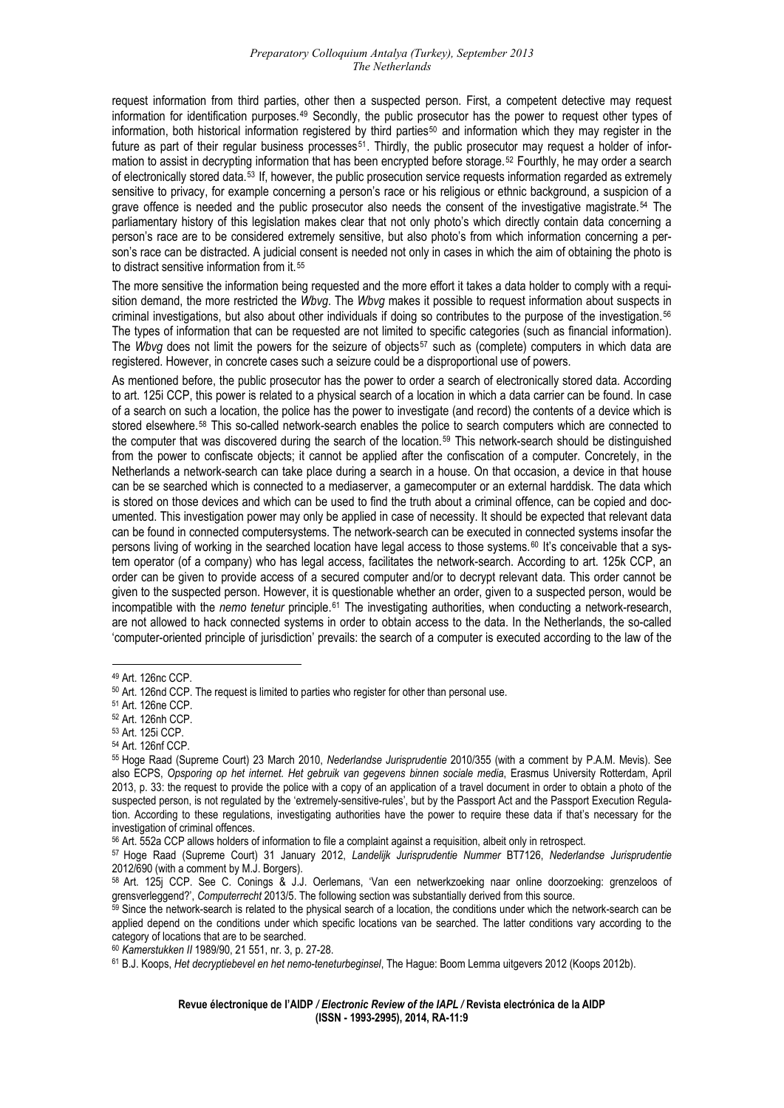request information from third parties, other then a suspected person. First, a competent detective may request information for identification purposes.[49](#page-8-0) Secondly, the public prosecutor has the power to request other types of information, both historical information registered by third parties<sup>[50](#page-8-1)</sup> and information which they may register in the future as part of their regular business processes<sup>[51](#page-8-2)</sup>. Thirdly, the public prosecutor may request a holder of information to assist in decrypting information that has been encrypted before storage.[52](#page-8-3) Fourthly, he may order a search of electronically stored data.[53](#page-8-4) If, however, the public prosecution service requests information regarded as extremely sensitive to privacy, for example concerning a person's race or his religious or ethnic background, a suspicion of a grave offence is needed and the public prosecutor also needs the consent of the investigative magistrate.[54](#page-8-5) The parliamentary history of this legislation makes clear that not only photo's which directly contain data concerning a person's race are to be considered extremely sensitive, but also photo's from which information concerning a person's race can be distracted. A judicial consent is needed not only in cases in which the aim of obtaining the photo is to distract sensitive information from it.[55](#page-8-6)

[sition demand, the more restricted the](#page-8-6) *Wbvg*. The *Wbvg* makes it possible to request information about suspects in [The more sensitive the information being requested and the more effort it takes a data holder to comply with a requi](#page-8-6)criminal investigations, but also about other individuals if doing so contributes to the purpose of the investigation.[56](#page-8-7) The types of information that can be requested are not limited to specific categories (such as financial information). The *Wbvg* does not limit the powers for the seizure of objects[57](#page-8-8) such as (complete) computers in which data are registered. However, in concrete cases such a seizure could be a disproportional use of powers.

to art. 125i CCP, this power is related to a physical search of a location in which a data carrier can be found. In case As mentioned before, the public prosecutor has the power to order a search of electronically stored data. According of a search on such a location, the police has the power to investigate (and record) the contents of a device which is stored elsewhere.<sup>[58](#page-8-9)</sup> This so-called network-search enables the police to search computers which are connected to the computer that was discovered during the search of the location.[59](#page-8-10) This network-search should be distinguished from the power to confiscate objects; it cannot be applied after the confiscation of a computer. Concretely, in the Netherlands a network-search can take place during a search in a house. On that occasion, a device in that house can be se searched which is connected to a mediaserver, a gamecomputer or an external harddisk. The data which is stored on those devices and which can be used to find the truth about a criminal offence, can be copied and documented. This investigation power may only be applied in case of necessity. It should be expected that relevant data can be found in connected computersystems. The network-search can be executed in connected systems insofar the persons living of working in the searched location have legal access to those systems.<sup>[60](#page-8-11)</sup> It's conceivable that a system operator (of a company) who has legal access, facilitates the network-search. According to art. 125k CCP, an order can be given to provide access of a secured computer and/or to decrypt relevant data. This order cannot be given to the suspected person. However, it is questionable whether an order, given to a suspected person, would be incompatible with the *nemo tenetur* principle.[61](#page-8-12) The investigating authorities, when conducting a network-research, are not allowed to hack connected systems in order to obtain access to the data. In the Netherlands, the so-called 'computer-oriented principle of jurisdiction' prevails: the search of a computer is executed according to the law of the

<span id="page-8-1"></span><span id="page-8-0"></span><sup>49</sup> Art. 126nc CCP.

<sup>50</sup> Art. 126nd CCP. The request is limited to parties who register for other than personal use.

<span id="page-8-2"></span><sup>51</sup> Art. 126ne CCP.

<span id="page-8-3"></span><sup>52</sup> Art. 126nh CCP.

<sup>53</sup> Art. 125i CCP.

<span id="page-8-5"></span><span id="page-8-4"></span><sup>54</sup> Art. 126nf CCP.

<span id="page-8-6"></span><sup>55</sup> Hoge Raad (Supreme Court) 23 March 2010, *Nederlandse Jurisprudentie* 2010/355 (with a comment by P.A.M. Mevis). See also ECPS, *Opsporing op het internet. Het gebruik van gegevens binnen sociale media*, Erasmus University Rotterdam, April 2013, p. 33: the request to provide the police with a copy of an application of a travel document in order to obtain a photo of the suspected person, is not regulated by the 'extremely-sensitive-rules', but by the Passport Act and the Passport Execution Regulation. According to these regulations, investigating authorities have the power to require these data if that's necessary for the investigation of criminal offences.

<span id="page-8-8"></span>

<span id="page-8-7"></span><sup>&</sup>lt;sup>56</sup> Art. 552a CCP allows holders of information to file a complaint against a requisition, albeit only in retrospect.<br><sup>57</sup> Hoge Raad (Supreme Court) 31 January 2012, Landelijk Jurisprudentie Nummer BT7126, Nederlandse Jur 2012/690 (with a comment by M.J. Borgers).

<span id="page-8-9"></span><sup>58</sup> Art. 125j CCP. See C. Conings & J.J. Oerlemans, 'Van een netwerkzoeking naar online doorzoeking: grenzeloos of grensverleggend?', Computerrecht 2013/5. The following section was substantially derived from this source.<br><sup>59</sup> Since the network-search is related to the physical search of a location, the conditions under which the netwo

<span id="page-8-10"></span>applied depend on the conditions under which specific locations van be searched. The latter conditions vary according to the category of locations that are to be searched.

<span id="page-8-12"></span><span id="page-8-11"></span><sup>60</sup> Kamerstukken II 1989/90, 21 551, nr. 3, p. 27-28.<br><sup>61</sup> B.J. Koops, *Het decryptiebevel en het nemo-teneturbeginsel*, The Hague: Boom Lemma uitgevers 2012 (Koops 2012b).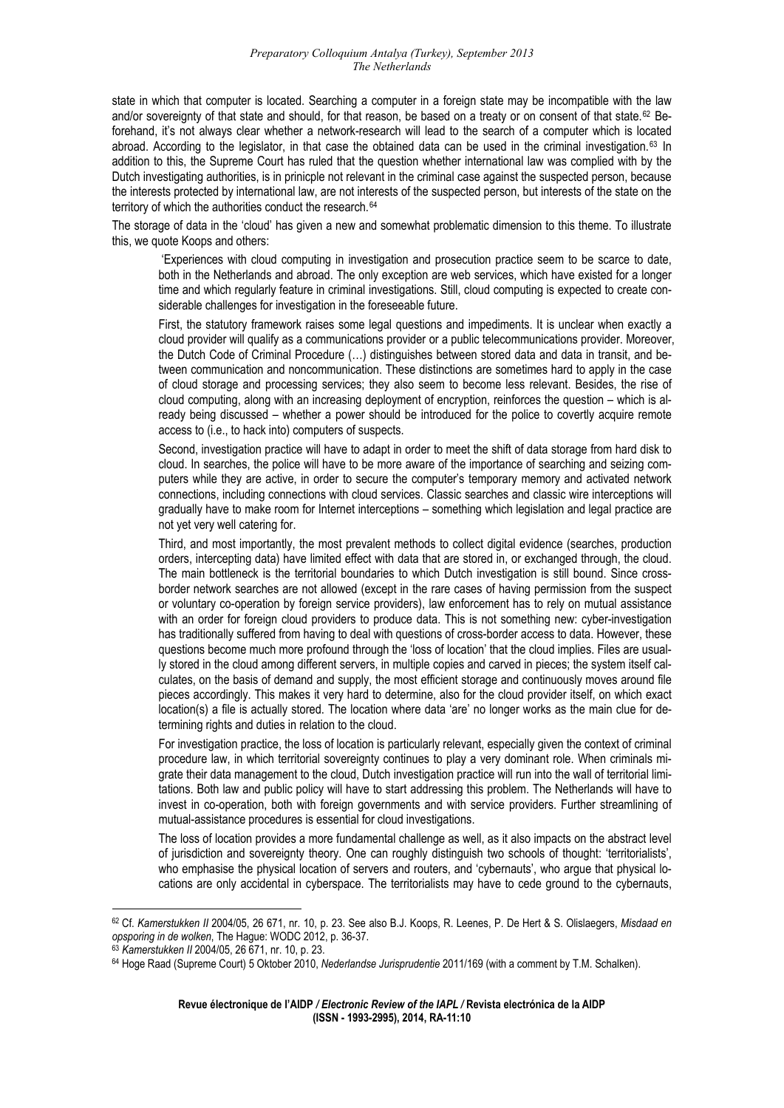state in which that computer is located. Searching a computer in a foreign state may be incompatible with the law and/or sovereignty of that state and should, for that reason, be based on a treaty or on consent of that state.<sup>[62](#page-9-0)</sup> Beforehand, it's not always clear whether a network-research will lead to the search of a computer which is located abroad. According to the legislator, in that case the obtained data can be used in the criminal investigation.[63](#page-9-1) In addition to this, the Supreme Court has ruled that the question whether international law was complied with by the Dutch investigating authorities, is in prinicple not relevant in the criminal case against the suspected person, because the interests protected by international law, are not interests of the suspected person, but interests of the state on the territory of which the authorities conduct the research.<sup>[64](#page-9-2)</sup>

[The storage of data in the 'cloud' has given a new and somewhat problematic dimension to this theme. To illustrate](#page-9-2)  [this, we quote Koops and others:](#page-9-2) 

both in the Netherlands and abroad. The only exception are web services, which have existed for a longer 'Experiences with cloud computing in investigation and prosecution practice seem to be scarce to date, time and which regularly feature in criminal investigations. Still, cloud computing is expected to create considerable challenges for investigation in the foreseeable future.

cloud provider will qualify as a communications provider or a public telecommunications provider. Moreover, First, the statutory framework raises some legal questions and impediments. It is unclear when exactly a the Dutch Code of Criminal Procedure (…) distinguishes between stored data and data in transit, and between communication and noncommunication. These distinctions are sometimes hard to apply in the case of cloud storage and processing services; they also seem to become less relevant. Besides, the rise of cloud computing, along with an increasing deployment of encryption, reinforces the question – which is already being discussed – whether a power should be introduced for the police to covertly acquire remote access to (i.e., to hack into) computers of suspects.

cloud. In searches, the police will have to be more aware of the importance of searching and seizing com-Second, investigation practice will have to adapt in order to meet the shift of data storage from hard disk to puters while they are active, in order to secure the computer's temporary memory and activated network connections, including connections with cloud services. Classic searches and classic wire interceptions will gradually have to make room for Internet interceptions – something which legislation and legal practice are not yet very well catering for.

orders, intercepting data) have limited effect with data that are stored in, or exchanged through, the cloud. Third, and most importantly, the most prevalent methods to collect digital evidence (searches, production The main bottleneck is the territorial boundaries to which Dutch investigation is still bound. Since crossborder network searches are not allowed (except in the rare cases of having permission from the suspect or voluntary co-operation by foreign service providers), law enforcement has to rely on mutual assistance with an order for foreign cloud providers to produce data. This is not something new: cyber-investigation has traditionally suffered from having to deal with questions of cross-border access to data. However, these questions become much more profound through the 'loss of location' that the cloud implies. Files are usually stored in the cloud among different servers, in multiple copies and carved in pieces; the system itself calculates, on the basis of demand and supply, the most efficient storage and continuously moves around file pieces accordingly. This makes it very hard to determine, also for the cloud provider itself, on which exact location(s) a file is actually stored. The location where data 'are' no longer works as the main clue for determining rights and duties in relation to the cloud.

procedure law, in which territorial sovereignty continues to play a very dominant role. When criminals mi-For investigation practice, the loss of location is particularly relevant, especially given the context of criminal grate their data management to the cloud, Dutch investigation practice will run into the wall of territorial limitations. Both law and public policy will have to start addressing this problem. The Netherlands will have to invest in co-operation, both with foreign governments and with service providers. Further streamlining of mutual-assistance procedures is essential for cloud investigations.

of jurisdiction and sovereignty theory. One can roughly distinguish two schools of thought: 'territorialists', The loss of location provides a more fundamental challenge as well, as it also impacts on the abstract level who emphasise the physical location of servers and routers, and 'cybernauts', who argue that physical locations are only accidental in cyberspace. The territorialists may have to cede ground to the cybernauts,

<span id="page-9-0"></span><sup>62</sup> Cf. *Kamerstukken II* 2004/05, 26 671, nr. 10, p. 23. See also B.J. Koops, R. Leenes, P. De Hert & S. Olislaegers, *Misdaad en* 

<span id="page-9-2"></span><span id="page-9-1"></span> $63$  Kamerstukken II 2004/05, 26 671, nr. 10, p. 23.<br> $64$  Hoge Raad (Supreme Court) 5 Oktober 2010, Nederlandse Jurisprudentie 2011/169 (with a comment by T.M. Schalken).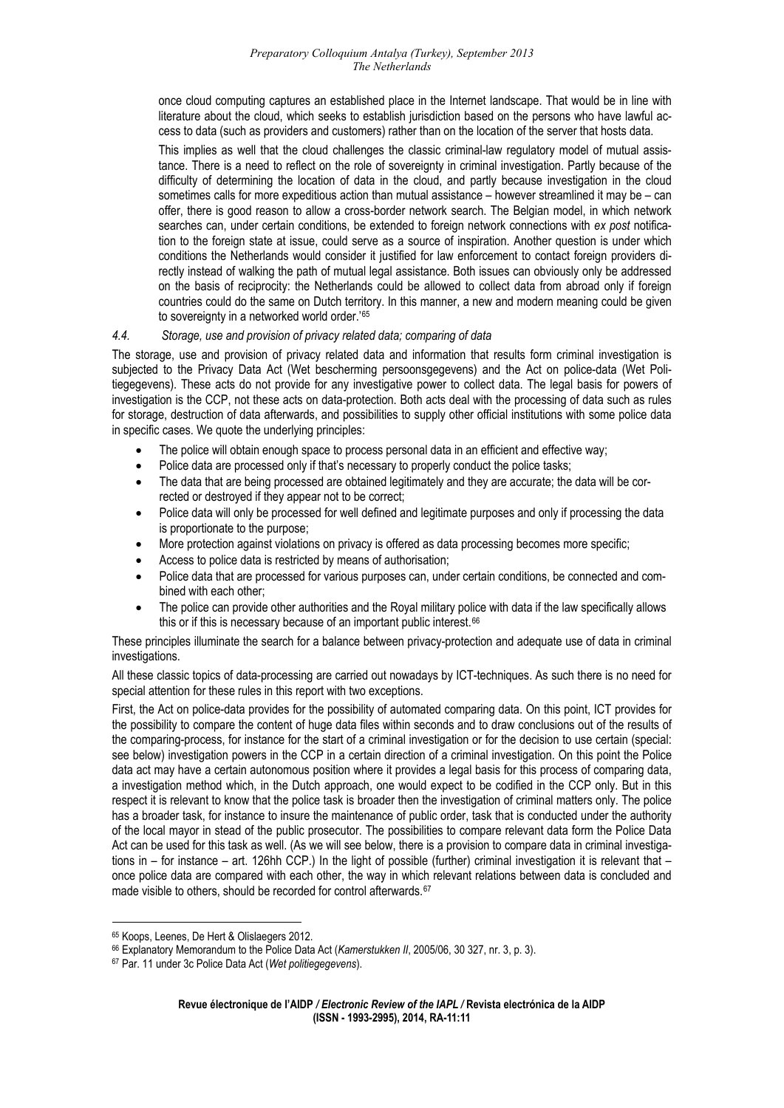once cloud computing captures an established place in the Internet landscape. That would be in line with literature about the cloud, which seeks to establish jurisdiction based on the persons who have lawful access to data (such as providers and customers) rather than on the location of the server that hosts data.

tance. There is a need to reflect on the role of sovereignty in criminal investigation. Partly because of the This implies as well that the cloud challenges the classic criminal-law regulatory model of mutual assisdifficulty of determining the location of data in the cloud, and partly because investigation in the cloud sometimes calls for more expeditious action than mutual assistance – however streamlined it may be – can offer, there is good reason to allow a cross-border network search. The Belgian model, in which network searches can, under certain conditions, be extended to foreign network connections with *ex post* notification to the foreign state at issue, could serve as a source of inspiration. Another question is under which conditions the Netherlands would consider it justified for law enforcement to contact foreign providers directly instead of walking the path of mutual legal assistance. Both issues can obviously only be addressed on the basis of reciprocity: the Netherlands could be allowed to collect data from abroad only if foreign countries could do the same on Dutch territory. In this manner, a new and modern meaning could be given to sovereignty in a networked world order.<sup>'[65](#page-10-0)</sup>

#### *4.4.  [Storage, use and provision of privacy related data; comparing of data](#page-10-0)*

The storage, use and provision of privacy related data and information that results form criminal investigation is subjected to the Privacy Data Act (Wet bescherming persoonsgegevens) and the Act on police-data (Wet Politiegegevens). These acts do not provide for any investigative power to collect data. The legal basis for powers of investigation is the CCP, not these acts on data-protection. Both acts deal with the processing of data such as rules for storage, destruction of data afterwards, and possibilities to supply other official institutions with some police data in specific cases. We quote the underlying principles:

- The police will obtain enough space to process personal data in an efficient and effective way;
- Police data are processed only if that's necessary to properly conduct the police tasks;
- The data that are being processed are obtained legitimately and they are accurate; the data will be corrected or destroyed if they appear not to be correct;
- Police data will only be processed for well defined and legitimate purposes and only if processing the data is proportionate to the purpose;
- More protection against violations on privacy is offered as data processing becomes more specific;
- Access to police data is restricted by means of authorisation;
- Police data that are processed for various purposes can, under certain conditions, be connected and combined with each other;
- this or if this is necessary because of an important public interest.<sup>66</sup> The police can provide other authorities and the Royal military police with data if the law specifically allows

[These principles illuminate the search for a balance between privacy-protection and adequate use of data in criminal](#page-10-1) [investigations.](#page-10-1) 

special attention for these rules in this report with two exceptions. All these classic topics of data-processing are carried out nowadays by ICT-techniques. As such there is no need for

the possibility to compare the content of huge data files within seconds and to draw conclusions out of the results of First, the Act on police-data provides for the possibility of automated comparing data. On this point, ICT provides for the comparing-process, for instance for the start of a criminal investigation or for the decision to use certain (special: see below) investigation powers in the CCP in a certain direction of a criminal investigation. On this point the Police data act may have a certain autonomous position where it provides a legal basis for this process of comparing data, a investigation method which, in the Dutch approach, one would expect to be codified in the CCP only. But in this respect it is relevant to know that the police task is broader then the investigation of criminal matters only. The police has a broader task, for instance to insure the maintenance of public order, task that is conducted under the authority of the local mayor in stead of the public prosecutor. The possibilities to compare relevant data form the Police Data Act can be used for this task as well. (As we will see below, there is a provision to compare data in criminal investigations in – for instance – art. 126hh CCP.) In the light of possible (further) criminal investigation it is relevant that – once police data are compared with each other, the way in which relevant relations between data is concluded and made visible to others, should be recorded for control afterwards.<sup>[67](#page-10-2)</sup>

<sup>1</sup> 65 Koops, Leenes, De Hert & Olislaegers 2012.

<span id="page-10-0"></span><sup>&</sup>lt;sup>66</sup> Explanatory Memorandum to the Police Data Act (Kamerstukken *II*, 2005/06, 30 327, nr. 3, p. 3).

<span id="page-10-2"></span><span id="page-10-1"></span><sup>67</sup> Par. 11 under 3c Police Data Act (*Wet politiegegevens*).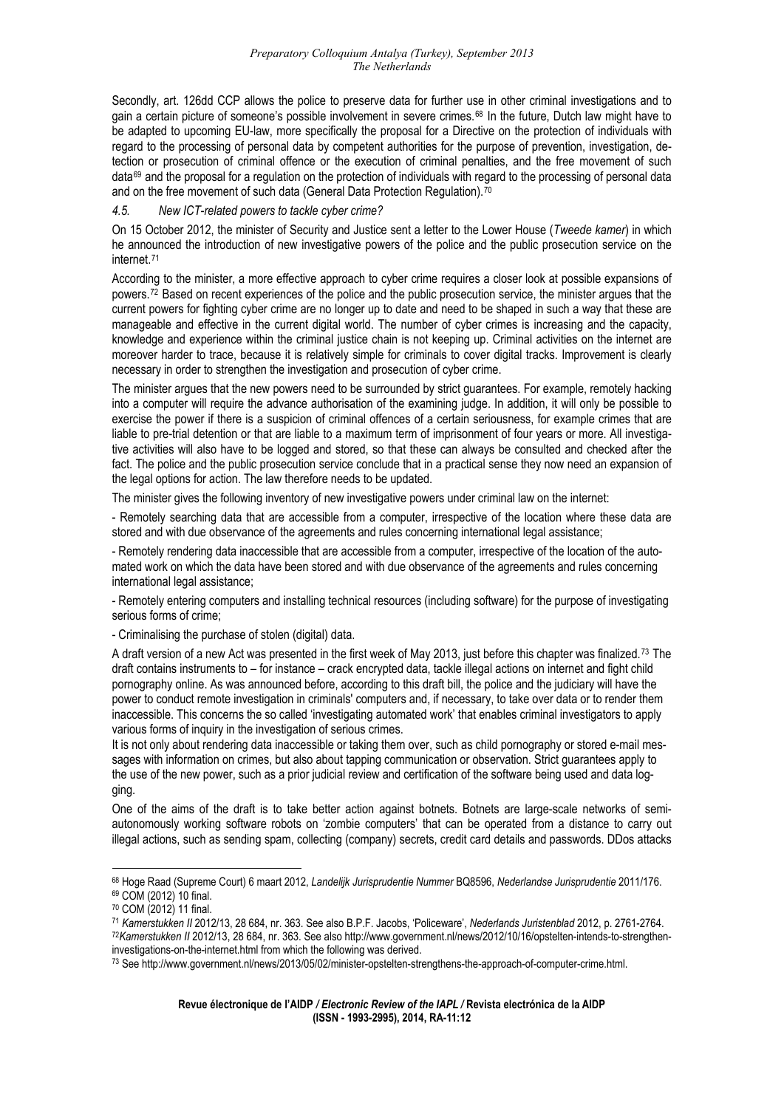[gain a certain picture of someone's possible involvement in severe](#page-10-2) crimes.<sup>68</sup> In the future, Dutch law might have to [Secondly, art. 126dd CCP allows the police to preserve data for further use in other criminal investigations and to](#page-10-2)  be adapted to upcoming EU-law, more specifically the proposal for a Directive on the protection of individuals with regard to the processing of personal data by competent authorities for the purpose of prevention, investigation, detection or prosecution of criminal offence or the execution of criminal penalties, and the free movement of such  $data^{69}$  $data^{69}$  $data^{69}$  and the proposal for a regulation on the protection of individuals with regard to the processing of personal data and on the free movement of such data (General Data Protection Regulation).<sup>[70](#page-11-1)</sup>

## *4.5. New ICT-related powers to tackle cyber crime?*

On 15 October 2012, the minister of Security and Justice sent a letter to the Lower House (Tweede kamer) in which he announced the introduction of new investigative powers of the police and the public prosecution service on the internet.[71](#page-11-2)

powers.<sup>72</sup> Based on recent experiences of the police and the public prosecution service, the minister argues that the [According to the minister, a more effective approach to cyber crime requires a closer look at possible expansions of](#page-11-2)  current powers for fighting cyber crime are no longer up to date and need to be shaped in such a way that these are manageable and effective in the current digital world. The number of cyber crimes is increasing and the capacity, knowledge and experience within the criminal justice chain is not keeping up. Criminal activities on the internet are moreover harder to trace, because it is relatively simple for criminals to cover digital tracks. Improvement is clearly necessary in order to strengthen the investigation and prosecution of cyber crime.

into a computer will require the advance authorisation of the examining judge. In addition, it will only be possible to The minister argues that the new powers need to be surrounded by strict guarantees. For example, remotely hacking exercise the power if there is a suspicion of criminal offences of a certain seriousness, for example crimes that are liable to pre-trial detention or that are liable to a maximum term of imprisonment of four years or more. All investigative activities will also have to be logged and stored, so that these can always be consulted and checked after the fact. The police and the public prosecution service conclude that in a practical sense they now need an expansion of the legal options for action. The law therefore needs to be updated.

The minister gives the following inventory of new investigative powers under criminal law on the internet:

- Remotely searching data that are accessible from a computer, irrespective of the location where these data are stored and with due observance of the agreements and rules concerning international legal assistance;

mated work on which the data have been stored and with due observance of the agreements and rules concerning - Remotely rendering data inaccessible that are accessible from a computer, irrespective of the location of the autointernational legal assistance;

- Remotely entering computers and installing technical resources (including software) for the purpose of investigating serious forms of crime;

- Criminalising the purchase of stolen (digital) data.

A draft version of a new Act was presented in the first week of May 2013, just before this chapter was finalized.<sup>73</sup> The draft contains instruments to – for instance – crack encrypted data, tackle illegal actions on internet and fight child pornography online. As was announced before, according to this draft bill, the police and the judiciary will have the power to conduct remote investigation in criminals' computers and, if necessary, to take over data or to render them inaccessible. This concerns the so called 'investigating automated work' that enables criminal investigators to apply various forms of inquiry in the investigation of serious crimes.

It is not only about rendering data inaccessible or taking them over, such as child pornography or stored e-mail messages with information on crimes, but also about tapping communication or observation. Strict guarantees apply to the use of the new power, such as a prior judicial review and certification of the software being used and data logging.

One of the aims of the draft is to take better action against botnets. Botnets are large-scale networks of semiautonomously working software robots on 'zombie computers' that can be operated from a distance to carry out illegal actions, such as sending spam, collecting (company) secrets, credit card details and passwords. DDos attacks

<span id="page-11-0"></span><sup>1</sup> 68 Hoge Raad (Supreme Court) 6 maart 2012, *Landelijk Jurisprudentie Nummer* BQ8596, Nederlandse Jurisprudentie 2011/176.<br><sup>69</sup> COM (2012) 10 final.

<span id="page-11-1"></span><sup>70</sup> COM (2012) 11 final.

<span id="page-11-2"></span><sup>&</sup>lt;sup>71</sup> Kamerstukken II 2012/13, 28 684, nr. 363. See also B.P.F. Jacobs, 'Policeware', Nederlands Juristenblad 2012, p. 2761-2764.<br><sup>72</sup>Kamerstukken II 2012/13, 28 684, nr. 363. See also http://www.government.nl/news/2012/10/ investigations-on-the-internet.html from which the following was derived.

<sup>73</sup> See http://www.government.nl/news/2013/05/02/minister-opstelten-strengthens-the-approach-of-computer-crime.html.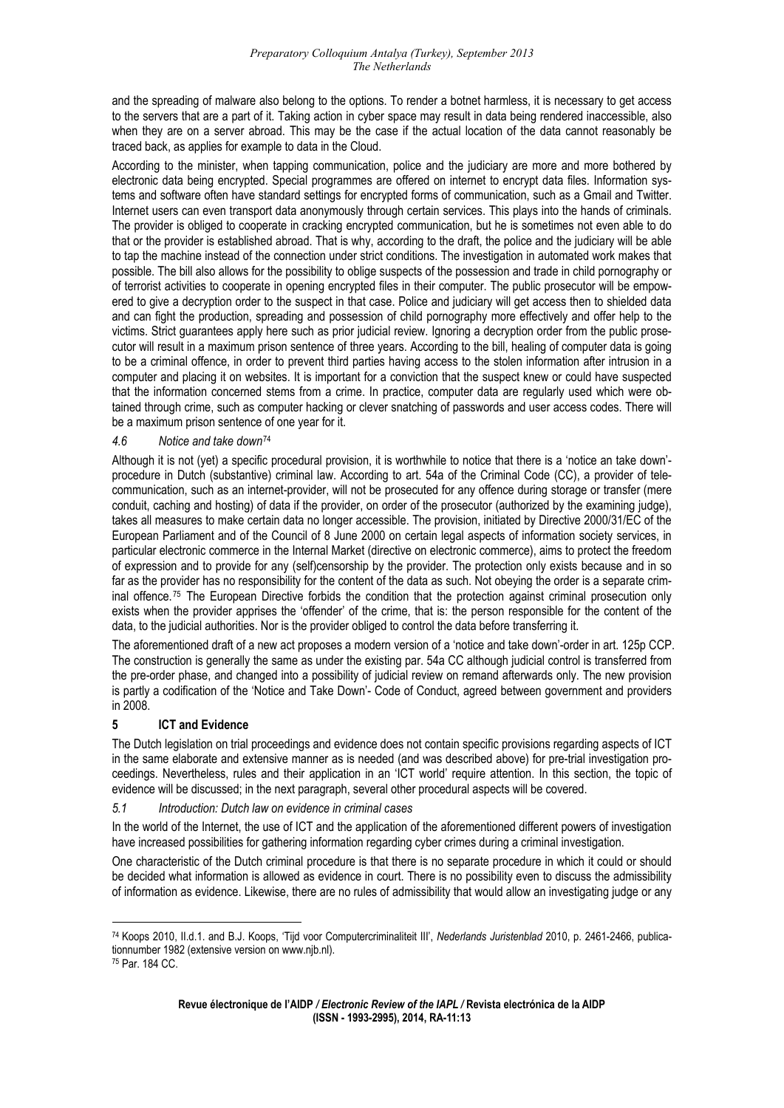and the spreading of malware also belong to the options. To render a botnet harmless, it is necessary to get access to the servers that are a part of it. Taking action in cyber space may result in data being rendered inaccessible, also when they are on a server abroad. This may be the case if the actual location of the data cannot reasonably be traced back, as applies for example to data in the Cloud.

tems and software often have standard settings for encrypted forms of communication, such as a Gmail and Twitter. According to the minister, when tapping communication, police and the judiciary are more and more bothered by electronic data being encrypted. Special programmes are offered on internet to encrypt data files. Information sys-Internet users can even transport data anonymously through certain services. This plays into the hands of criminals. The provider is obliged to cooperate in cracking encrypted communication, but he is sometimes not even able to do that or the provider is established abroad. That is why, according to the draft, the police and the judiciary will be able to tap the machine instead of the connection under strict conditions. The investigation in automated work makes that possible. The bill also allows for the possibility to oblige suspects of the possession and trade in child pornography or of terrorist activities to cooperate in opening encrypted files in their computer. The public prosecutor will be empowered to give a decryption order to the suspect in that case. Police and judiciary will get access then to shielded data and can fight the production, spreading and possession of child pornography more effectively and offer help to the victims. Strict guarantees apply here such as prior judicial review. Ignoring a decryption order from the public prosecutor will result in a maximum prison sentence of three years. According to the bill, healing of computer data is going to be a criminal offence, in order to prevent third parties having access to the stolen information after intrusion in a computer and placing it on websites. It is important for a conviction that the suspect knew or could have suspected that the information concerned stems from a crime. In practice, computer data are regularly used which were obtained through crime, such as computer hacking or clever snatching of passwords and user access codes. There will be a maximum prison sentence of one year for it.

# *4.6 Notice and take down*<sup>74</sup>

procedure in Dutch (substantive) criminal law. According to art. 54a of the Criminal Code (CC), a provider of telecommunication, such as an internet-provider, will not be prosecuted for any offence during storage or transfer (mere Although it is not (yet) a specific procedural provision, it is worthwhile to notice that there is a 'notice an take down' conduit, caching and hosting) of data if the provider, on order of the prosecutor (authorized by the examining judge), takes all measures to make certain data no longer accessible. The provision, initiated by Directive 2000/31/EC of the European Parliament and of the Council of 8 June 2000 on certain legal aspects of information society services, in particular electronic commerce in the Internal Market (directive on electronic commerce), aims to protect the freedom of expression and to provide for any (self)censorship by the provider. The protection only exists because and in so far as the provider has no responsibility for the content of the data as such. Not obeying the order is a separate crim-inal offence.<sup>[75](#page-12-0)</sup> The European Directive forbids the condition that the protection against criminal prosecution only exists when the provider apprises the 'offender' of the crime, that is: the person responsible for the content of the data, to the judicial authorities. Nor is the provider obliged to control the data before transferring it.

the pre-order phase, and changed into a possibility of judicial review on remand afterwards only. The new provision The aforementioned draft of a new act proposes a modern version of a 'notice and take down'-order in art. 125p CCP. The construction is generally the same as under the existing par. 54a CC although judicial control is transferred from is partly a codification of the 'Notice and Take Down'- Code of Conduct, agreed between government and providers in 2008.

# **5 ICT and Evidence**

in the same elaborate and extensive manner as is needed (and was described above) for pre-trial investigation proceedings. Nevertheless, rules and their application in an 'ICT world' require attention. In this section, the topic of The Dutch legislation on trial proceedings and evidence does not contain specific provisions regarding aspects of ICT evidence will be discussed; in the next paragraph, several other procedural aspects will be covered.

#### *5.1 Introduction: Dutch law on evidence in criminal cases*

have increased possibilities for gathering information regarding cyber crimes during a criminal investigation. In the world of the Internet, the use of ICT and the application of the aforementioned different powers of investigation

of information as evidence. Likewise, there are no rules of admissibility that would allow an investigating judge or any One characteristic of the Dutch criminal procedure is that there is no separate procedure in which it could or should be decided what information is allowed as evidence in court. There is no possibility even to discuss the admissibility

<sup>74</sup> Koops 2010, II.d.1. and B.J. Koops, 'Tijd voor Computercriminaliteit III', *Nederlands Juristenblad* 2010, p. 2461-2466, publicationnumber 1982 (extensive version on www.njb.nl).<br><sup>75</sup> Par. 184 CC.

<span id="page-12-0"></span>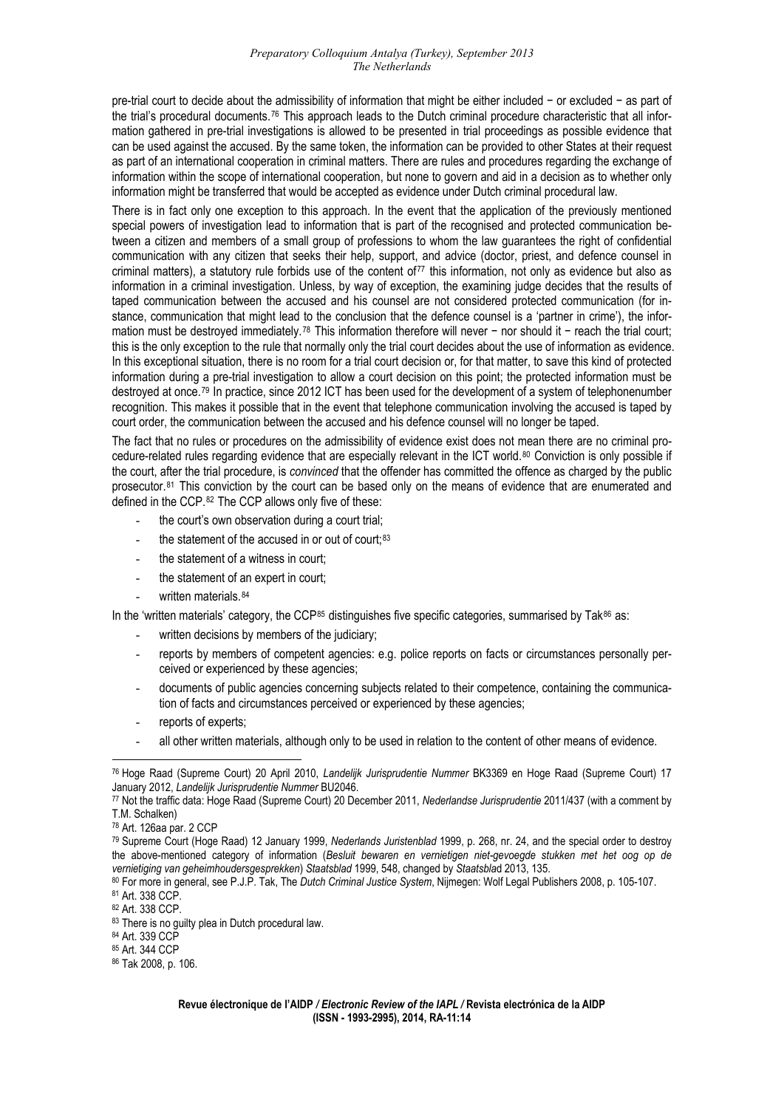pre-trial court to decide about the admissibility of information that might be either included − or excluded − as part of the trial's procedural documents.[76](#page-13-0) This approach leads to the Dutch criminal procedure characteristic that all information gathered in pre-trial investigations is allowed to be presented in trial proceedings as possible evidence that can be used against the accused. By the same token, the information can be provided to other States at their request as part of an international cooperation in criminal matters. There are rules and procedures regarding the exchange of information within the scope of international cooperation, but none to govern and aid in a decision as to whether only information might be transferred that would be accepted as evidence under Dutch criminal procedural law.

tween a citizen and members of a small group of professions to whom the law guarantees the right of confidential There is in fact only one exception to this approach. In the event that the application of the previously mentioned special powers of investigation lead to information that is part of the recognised and protected communication becommunication with any citizen that seeks their help, support, and advice (doctor, priest, and defence counsel in criminal matters), a statutory rule forbids use of the content of<sup>[77](#page-13-1)</sup> this information, not only as evidence but also as information in a criminal investigation. Unless, by way of exception, the examining judge decides that the results of taped communication between the accused and his counsel are not considered protected communication (for instance, communication that might lead to the conclusion that the defence counsel is a 'partner in crime'), the infor-mation must be destroyed immediately.<sup>[78](#page-13-2)</sup> This information therefore will never − nor should it − reach the trial court; this is the only exception to the rule that normally only the trial court decides about the use of information as evidence. In this exceptional situation, there is no room for a trial court decision or, for that matter, to save this kind of protected information during a pre-trial investigation to allow a court decision on this point; the protected information must be destroyed at once.[79](#page-13-3) In practice, since 2012 ICT has been used for the development of a system of telephonenumber recognition. This makes it possible that in the event that telephone communication involving the accused is taped by court order, the communication between the accused and his defence counsel will no longer be taped.

prosecutor.<sup>81</sup> This conviction by the court can be based only on the means of evidence that are enumerated and The fact that no rules or procedures on the admissibility of evidence exist does not mean there are no criminal procedure-related rules regarding evidence that are especially relevant in the ICT world.[80](#page-13-3) Conviction is only possible if the court, after the trial procedure, is *convinced* that the offender has committed the offence as charged by the public defined in the CCP.[82](#page-13-4) The CCP allows only five of these:

- the court's own observation during a court trial;
- the statement of the accused in or out of court;<sup>[83](#page-13-5)</sup>
- the statement of a witness in court;
- the statement of an expert in court;
- written materials. [84](#page-13-6)

In the 'written materials' category, the CCP<sup>85</sup> distinguishes five specific categories, summarised by Tak<sup>86</sup> as:

- written decisions by members of the judiciary;
- reports by members of competent agencies: e.g. police reports on facts or circumstances personally perceived or experienced by these agencies;
- documents of public agencies concerning subjects related to their competence, containing the communication of facts and circumstances perceived or experienced by these agencies;
- reports of experts;
- all other written materials, although only to be used in relation to the content of other means of evidence.

<span id="page-13-5"></span>82 Art. 338 CCP.

<span id="page-13-0"></span><sup>&</sup>lt;u>.</u> 76 Hoge Raad (Supreme Court) 20 April 2010, *Landelijk Jurisprudentie Nummer* BK3369 en Hoge Raad (Supreme Court) 17

<span id="page-13-1"></span><sup>&</sup>lt;sup>77</sup> Not the traffic data: Hoge Raad (Supreme Court) 20 December 2011, *Nederlandse Jurisprudentie* 2011/437 (with a comment by T.M. Schalken)

<sup>78</sup> Art. 126aa par. 2 CCP

<span id="page-13-3"></span><span id="page-13-2"></span><sup>79</sup> Supreme Court (Hoge Raad) 12 January 1999, *Nederlands Juristenblad* 1999, p. 268, nr. 24, and the special order to destroy the above-mentioned category of information (*Besluit bewaren en vernietigen niet-gevoegde stukken met het oog op de* 

<span id="page-13-4"></span><sup>80</sup> For more in general, see P.J.P. Tak, The Dutch Criminal Justice System, Nijmegen: Wolf Legal Publishers 2008, p. 105-107.<br>81 Art. 338 CCP.

<span id="page-13-6"></span><sup>83</sup> There is no guilty plea in Dutch procedural law.

<sup>84</sup> Art. 339 CCP

<sup>85</sup> Art. 344 CCP

<sup>86</sup> Tak 2008, p. 106.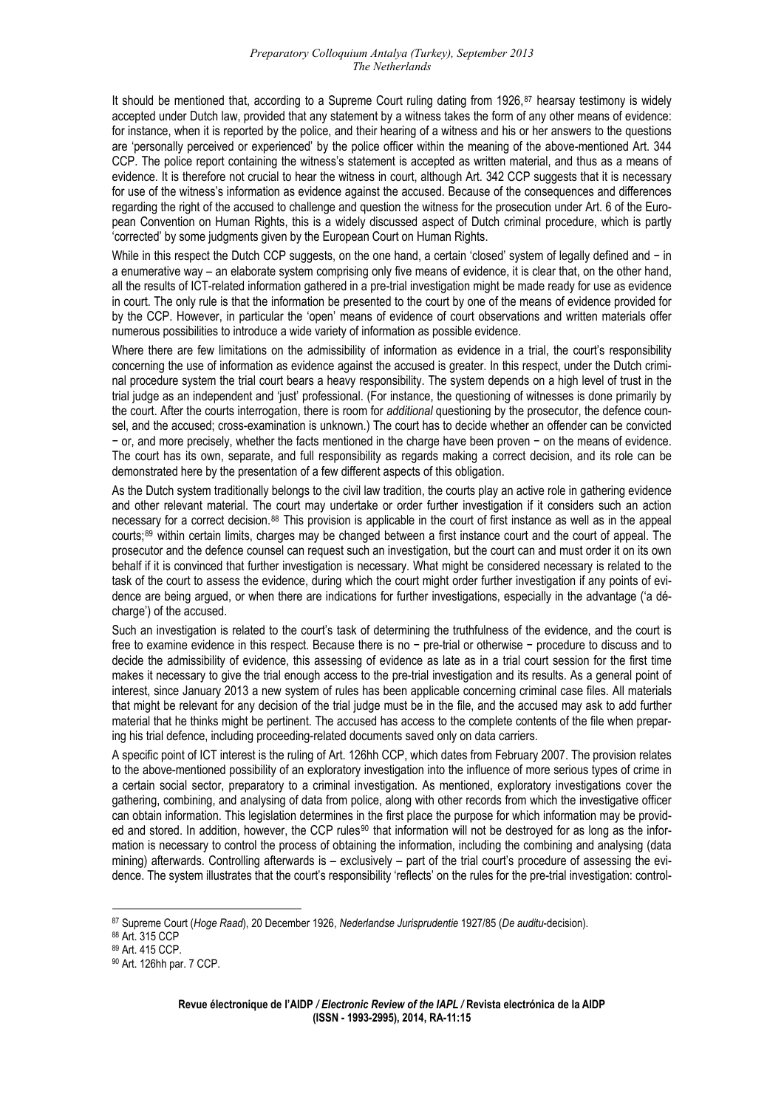accepted under Dutch law, provided that any statement by a witness takes the form of any other means of evidence: for instance, when it is reported by the police, and their hearing of a witness and his or her answers to the questions are 'personally perceived or experienced' by the police officer within the meaning of the above-mentioned Art. 344 It should be mentioned that, according to a Supreme Court ruling dating from 1926,<sup>87</sup> hearsay testimony is widely CCP. The police report containing the witness's statement is accepted as written material, and thus as a means of evidence. It is therefore not crucial to hear the witness in court, although Art. 342 CCP suggests that it is necessary for use of the witness's information as evidence against the accused. Because of the consequences and differences regarding the right of the accused to challenge and question the witness for the prosecution under Art. 6 of the European Convention on Human Rights, this is a widely discussed aspect of Dutch criminal procedure, which is partly 'corrected' by some judgments given by the European Court on Human Rights.

While in this respect the Dutch CCP suggests, on the one hand, a certain 'closed' system of legally defined and − in a enumerative way – an elaborate system comprising only five means of evidence, it is clear that, on the other hand, all the results of ICT-related information gathered in a pre-trial investigation might be made ready for use as evidence in court. The only rule is that the information be presented to the court by one of the means of evidence provided for by the CCP. However, in particular the 'open' means of evidence of court observations and written materials offer numerous possibilities to introduce a wide variety of information as possible evidence.

Where there are few limitations on the admissibility of information as evidence in a trial, the court's responsibility concerning the use of information as evidence against the accused is greater. In this respect, under the Dutch criminal procedure system the trial court bears a heavy responsibility. The system depends on a high level of trust in the trial judge as an independent and 'just' professional. (For instance, the questioning of witnesses is done primarily by the court. After the courts interrogation, there is room for *additional* questioning by the prosecutor, the defence counsel, and the accused; cross-examination is unknown.) The court has to decide whether an offender can be convicted − or, and more precisely, whether the facts mentioned in the charge have been proven − on the means of evidence. The court has its own, separate, and full responsibility as regards making a correct decision, and its role can be demonstrated here by the presentation of a few different aspects of this obligation.

As the Dutch system traditionally belongs to the civil law tradition, the courts play an active role in gathering evidence and other relevant material. The court may undertake or order further investigation if it considers such an action necessary for a correct decision.88 This provision is applicable in the court of first instance as well as in the appeal courts;89 within certain limits, charges may be changed between a first instance court and the court of appeal. The prosecutor and the defence counsel can request such an investigation, but the court can and must order it on its own behalf if it is convinced that further investigation is necessary. What might be considered necessary is related to the task of the court to assess the evidence, during which the court might order further investigation if any points of evidence are being argued, or when there are indications for further investigations, especially in the advantage ('a décharge') of the accused.

Such an investigation is related to the court's task of determining the truthfulness of the evidence, and the court is free to examine evidence in this respect. Because there is no − pre-trial or otherwise − procedure to discuss and to decide the admissibility of evidence, this assessing of evidence as late as in a trial court session for the first time makes it necessary to give the trial enough access to the pre-trial investigation and its results. As a general point of interest, since January 2013 a new system of rules has been applicable concerning criminal case files. All materials that might be relevant for any decision of the trial judge must be in the file, and the accused may ask to add further material that he thinks might be pertinent. The accused has access to the complete contents of the file when preparing his trial defence, including proceeding-related documents saved only on data carriers.

A specific point of ICT interest is the ruling of Art. 126hh CCP, which dates from February 2007. The provision relates to the above-mentioned possibility of an exploratory investigation into the influence of more serious types of crime in a certain social sector, preparatory to a criminal investigation. As mentioned, exploratory investigations cover the gathering, combining, and analysing of data from police, along with other records from which the investigative officer can obtain information. This legislation determines in the first place the purpose for which information may be provid-ed and stored. In addition, however, the CCP rules<sup>[90](#page-14-0)</sup> that information will not be destroyed for as long as the information is necessary to control the process of obtaining the information, including the combining and analysing (data mining) afterwards. Controlling afterwards is – exclusively – part of the trial court's procedure of assessing the evidence. The system illustrates that the court's responsibility 'reflects' on the rules for the pre-trial investigation: control-

<sup>87</sup> Supreme Court (*Hoge Raad*), 20 December 1926, *Nederlandse Jurisprudentie* 1927/85 (*De auditu*-decision).

<sup>88</sup> Art. 315 CCP

<sup>89</sup> Art. 415 CCP.

<span id="page-14-0"></span><sup>&</sup>lt;sup>90</sup> Art. 126hh par. 7 CCP.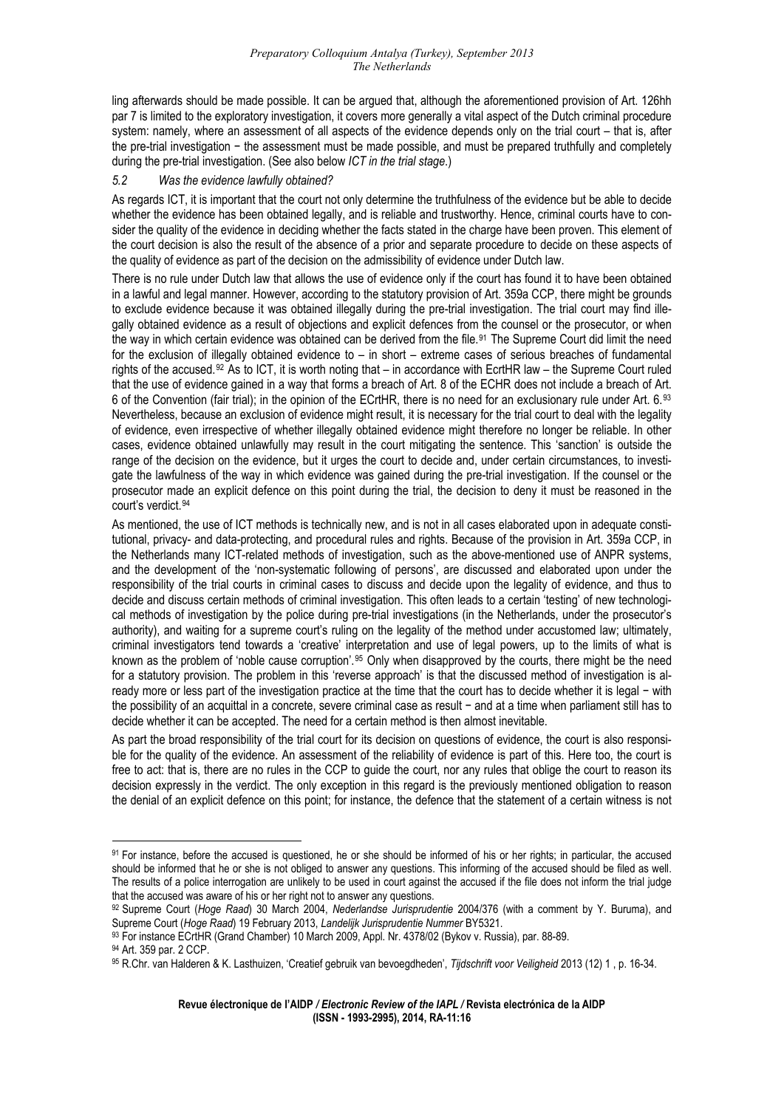ling afterwards should be made possible. It can be argued that, although the aforementioned provision of Art. 126hh par 7 is limited to the exploratory investigation, it covers more generally a vital aspect of the Dutch criminal procedure system: namely, where an assessment of all aspects of the evidence depends only on the trial court – that is, after the pre-trial investigation − the assessment must be made possible, and must be prepared truthfully and completely during the pre-trial investigation. (See also below *ICT in the trial stage*.)

#### *5.2 Was the evidence lawfully obtained?*

sider the quality of the evidence in deciding whether the facts stated in the charge have been proven. This element of the court decision is also the result of the absence of a prior and separate procedure to decide on these aspects of As regards ICT, it is important that the court not only determine the truthfulness of the evidence but be able to decide whether the evidence has been obtained legally, and is reliable and trustworthy. Hence, criminal courts have to conthe quality of evidence as part of the decision on the admissibility of evidence under Dutch law.

gally obtained evidence as a result of objections and explicit defences from the counsel or the prosecutor, or when There is no rule under Dutch law that allows the use of evidence only if the court has found it to have been obtained in a lawful and legal manner. However, according to the statutory provision of Art. 359a CCP, there might be grounds to exclude evidence because it was obtained illegally during the pre-trial investigation. The trial court may find ille-the way in which certain evidence was obtained can be derived from the file.<sup>[91](#page-15-0)</sup> The Supreme Court did limit the need for the exclusion of illegally obtained evidence to – in short – extreme cases of serious breaches of fundamental rights of the accused.[92](#page-15-1) As to ICT, it is worth noting that – in accordance with EcrtHR law – the Supreme Court ruled that the use of evidence gained in a way that forms a breach of Art. 8 of the ECHR does not include a breach of Art. 6 of the Convention (fair trial); in the opinion of the ECrtHR, there is no need for an exclusionary rule under Art. 6.[93](#page-15-2) Nevertheless, because an exclusion of evidence might result, it is necessary for the trial court to deal with the legality of evidence, even irrespective of whether illegally obtained evidence might therefore no longer be reliable. In other cases, evidence obtained unlawfully may result in the court mitigating the sentence. This 'sanction' is outside the range of the decision on the evidence, but it urges the court to decide and, under certain circumstances, to investigate the lawfulness of the way in which evidence was gained during the pre-trial investigation. If the counsel or the prosecutor made an explicit defence on this point during the trial, the decision to deny it must be reasoned in the court's verdict.[94](#page-15-3)

[and the developm](#page-15-3)ent of the 'non-systematic following of persons', are discussed and elaborated upon under the [As mentioned, the use of ICT methods is technically new, and is not in all cases elaborated upon in adequate consti](#page-15-3)[tutional, privacy- and data-protecting, and procedural rules and rights. Because of the provision in Art. 359a CCP, in](#page-15-3)  [the Netherlands many ICT-related methods of investigation, such as the above-mentioned use of ANPR systems,](#page-15-3)  responsibility of the trial courts in criminal cases to discuss and decide upon the legality of evidence, and thus to decide and discuss certain methods of criminal investigation. This often leads to a certain 'testing' of new technological methods of investigation by the police during pre-trial investigations (in the Netherlands, under the prosecutor's authority), and waiting for a supreme court's ruling on the legality of the method under accustomed law; ultimately, criminal investigators tend towards a 'creative' interpretation and use of legal powers, up to the limits of what is known as the problem of 'noble cause corruption'.<sup>[95](#page-15-4)</sup> Only when disapproved by the courts, there might be the need for a statutory provision. The problem in this 'reverse approach' is that the discussed method of investigation is already more or less part of the investigation practice at the time that the court has to decide whether it is legal − with the possibility of an acquittal in a concrete, severe criminal case as result − and at a time when parliament still has to decide whether it can be accepted. The need for a certain method is then almost inevitable.

decision expressly in the verdict. The only exception in this regard is the previously mentioned obligation to reason the denial of an explicit defence on this point; for instance, the defence that the statement of a certain witness is not As part the broad responsibility of the trial court for its decision on questions of evidence, the court is also responsible for the quality of the evidence. An assessment of the reliability of evidence is part of this. Here too, the court is free to act: that is, there are no rules in the CCP to guide the court, nor any rules that oblige the court to reason its

1

 $\overline{a}$ 

<span id="page-15-0"></span><sup>91</sup> For instance, before the accused is questioned, he or she should be informed of his or her rights; in particular, the accused should be informed that he or she is not obliged to answer any questions. This informing of the accused should be filed as well. The results of a police interrogation are unlikely to be used in court against the accused if the file does not inform the trial judge that the accused was aware of his or her right not to answer any questions.

<span id="page-15-1"></span><sup>92</sup> Supreme Court (*Hoge Raad*) 30 March 2004, *Nederlandse Jurisprudentie* 2004/376 (with a comment by Y. Buruma), and Supreme Court (*Hoge Raad*) 19 February 2013, *Landelijk Jurisprudentie Nummer* BY5321.<br><sup>93</sup> For instance ECrtHR (Grand Chamber) 10 March 2009, Appl. Nr. 4378/02 (Bykov v. Russia), par. 88-89.

<span id="page-15-2"></span>

<sup>94</sup> Art. 359 par. 2 CCP.

<span id="page-15-4"></span><span id="page-15-3"></span><sup>95</sup> R.Chr. van Halderen & K. Lasthuizen, 'Creatief gebruik van bevoegdheden', *Tijdschrift voor Veiligheid* 2013 (12) 1 , p. 16-34.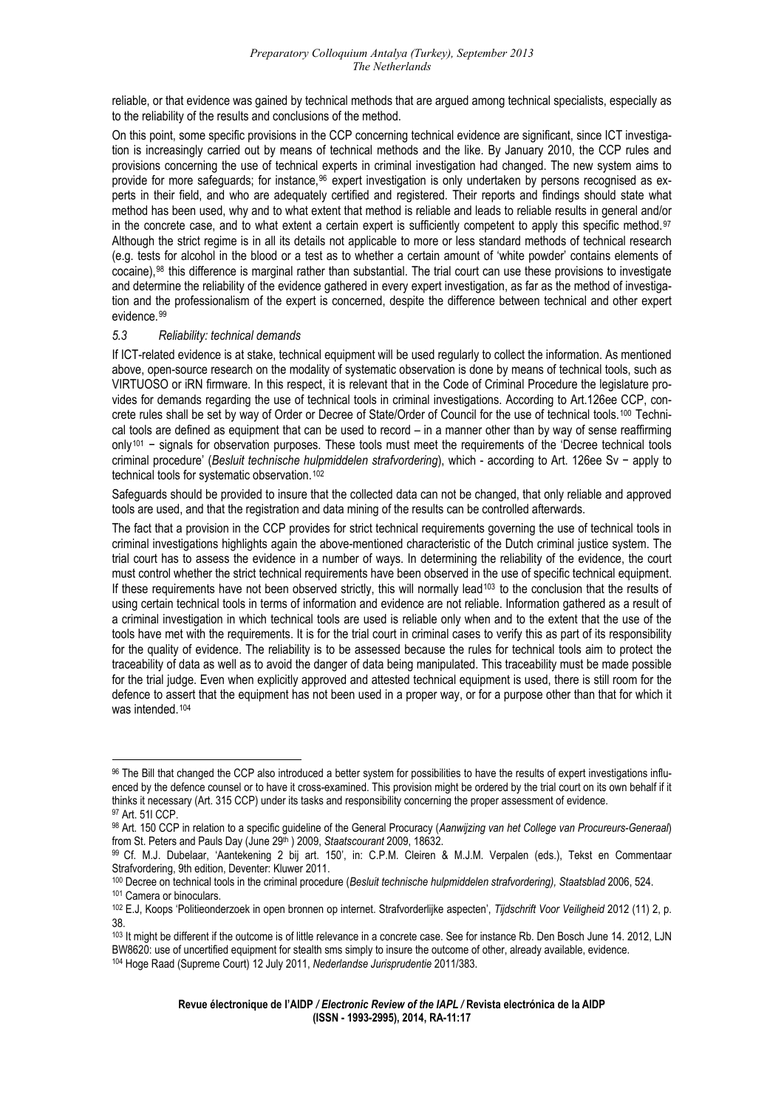reliable, or that evidence was gained by technical methods that are argued among technical specialists, especially as to the reliability of the results and conclusions of the method.

perts in their field, and who are adequately certified and registered. Their reports and findings should state what On this point, some specific provisions in the CCP concerning technical evidence are significant, since ICT investigation is increasingly carried out by means of technical methods and the like. By January 2010, the CCP rules and provisions concerning the use of technical experts in criminal investigation had changed. The new system aims to provide for more safeguards; for instance,<sup>96</sup> expert investigation is only undertaken by persons recognised as exmethod has been used, why and to what extent that method is reliable and leads to reliable results in general and/or in the concrete case, and to what extent a certain expert is sufficiently competent to apply this specific method.<sup>[97](#page-16-0)</sup> Although the strict regime is in all its details not applicable to more or less standard methods of technical research (e.g. tests for alcohol in the blood or a test as to whether a certain amount of 'white powder' contains elements of cocaine),[98](#page-16-1) this difference is marginal rather than substantial. The trial court can use these provisions to investigate and determine the reliability of the evidence gathered in every expert investigation, as far as the method of investigation and the professionalism of the expert is concerned, despite the difference between technical and other expert evidence.[99](#page-16-2)

#### *5.3 Reliability: technical demands*

<u>.</u>

vides for demands regarding the use of technical tools in criminal investigations. According to Art.126ee CCP, concrete rules shall be set by way of Order or Decree of State/Order of Council for the use of technical tools.<sup>100</sup> Techni-If ICT-related evidence is at stake, technical equipment will be used regularly to collect the information. As mentioned above, open-source research on the modality of systematic observation is done by means of technical tools, such as VIRTUOSO or iRN firmware. In this respect, it is relevant that in the Code of Criminal Procedure the legislature procal tools are defined as equipment that can be used to record – in a manner other than by way of sense reaffirming only[101](#page-16-3) − signals for observation purposes. These tools must meet the requirements of the 'Decree technical tools criminal procedure' (*Besluit technische hulpmiddelen strafvordering*), which - according to Art. 126ee Sv − apply to technical tools for systematic observation.<sup>[102](#page-16-4)</sup>

Safeguards should be provided to insure that the collected data can not be changed, that only reliable and approved tools are used, and that the registration and data mining of the results can be controlled afterwards.

If these requirements have not been observed strictly, this will normally lead<sup>103</sup> to the conclusion that the results of The fact that a provision in the CCP provides for strict technical requirements governing the use of technical tools in criminal investigations highlights again the above-mentioned characteristic of the Dutch criminal justice system. The trial court has to assess the evidence in a number of ways. In determining the reliability of the evidence, the court must control whether the strict technical requirements have been observed in the use of specific technical equipment. using certain technical tools in terms of information and evidence are not reliable. Information gathered as a result of a criminal investigation in which technical tools are used is reliable only when and to the extent that the use of the tools have met with the requirements. It is for the trial court in criminal cases to verify this as part of its responsibility for the quality of evidence. The reliability is to be assessed because the rules for technical tools aim to protect the traceability of data as well as to avoid the danger of data being manipulated. This traceability must be made possible for the trial judge. Even when explicitly approved and attested technical equipment is used, there is still room for the defence to assert that the equipment has not been used in a proper way, or for a purpose other than that for which it was intended.[104](#page-16-5)

<span id="page-16-0"></span><sup>96</sup> The Bill that changed the CCP also introduced a better system for possibilities to have the results of expert investigations influenced by the defence counsel or to have it cross-examined. This provision might be ordered by the trial court on its own behalf if it thinks it necessary (Art. 315 CCP) under its tasks and responsibility concerning the proper assessment of evidence.<br><sup>97</sup> Art. 51l CCP.

<span id="page-16-1"></span><sup>&</sup>lt;sup>98</sup> Art. 150 CCP in relation to a specific guideline of the General Procuracy (Aanwijzing van het College van Procureurs-Generaal)

<span id="page-16-2"></span>from St. Peters and Pauls Day (June 29<sup>th</sup> ) 2009, S*taatscourant* 2009, 18632.<br><sup>99</sup> Cf. M.J. Dubelaar, 'Aantekening 2 bij art. 150', in: C.P.M. Cleiren & M.J.M. Verpalen (eds.), Tekst en Commentaar Strafvordering, 9th edition, Deventer: Kluwer 2011.

<span id="page-16-3"></span><sup>&</sup>lt;sup>100</sup> Decree on technical tools in the criminal procedure (Besluit technische hulpmiddelen strafvordering), Staatsblad 2006, 524.

<span id="page-16-4"></span><sup>&</sup>lt;sup>101</sup> Camera or binoculars.<br><sup>102</sup> E.J, Koops 'Politieonderzoek in open bronnen op internet. Strafvorderlijke aspecten', *Tijdschrift Voor Veiligheid* 2012 (11) 2, p. 38.

<span id="page-16-5"></span><sup>&</sup>lt;sup>103</sup> It might be different if the outcome is of little relevance in a concrete case. See for instance Rb. Den Bosch June 14. 2012, LJN BW8620: use of uncertified equipment for stealth sms simply to insure the outcome of other, already available, evidence. 104 Hoge Raad (Supreme Court) 12 July 2011, *Nederlandse Jurisprudentie* 2011/383.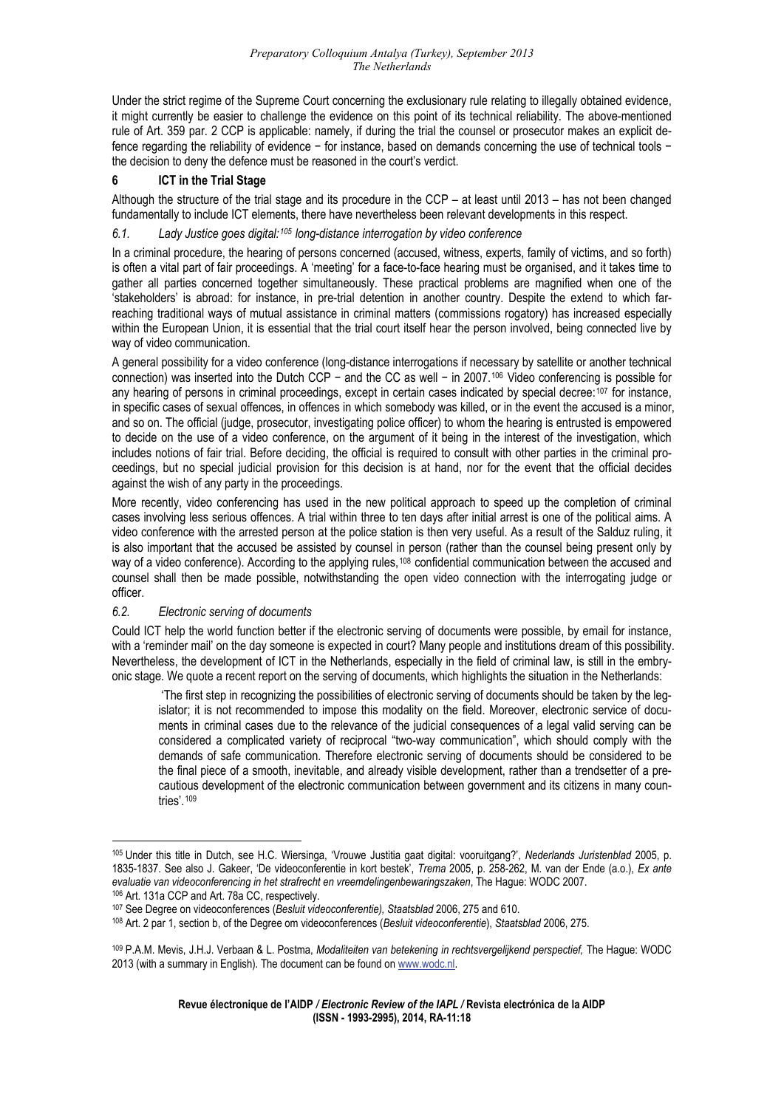[rule of Art. 359 pa](#page-16-5)r. 2 CCP is applicable: namely, if during the trial the counsel or prosecutor makes an explicit de-[Under the strict regime of the Supreme Court concerning the exclusionary rule relating to illegally obtained evidence,](#page-16-5)  [it might currently be easier to challenge the evidence on this point of its technical reliability. The above-mentioned](#page-16-5)  fence regarding the reliability of evidence − for instance, based on demands concerning the use of technical tools − the decision to deny the defence must be reasoned in the court's verdict.

## **6 ICT in the Trial Stage**

fundamentally to include ICT elements, there have nevertheless been relevant developments in this respect. Although the structure of the trial stage and its procedure in the CCP – at least until 2013 – has not been changed

## 6.1. Lady Justice goes digital:<sup>105</sup> long-distance interrogation by video conference

is often a vital part of fair proceedings. A 'meeting' for a face-to-face hearing must be organised, and it takes time to gather all parties concerned together simultaneously. These practical problems are magnified when one of the In a criminal procedure, the hearing of persons concerned (accused, witness, experts, family of victims, and so forth) 'stakeholders' is abroad: for instance, in pre-trial detention in another country. Despite the extend to which farreaching traditional ways of mutual assistance in criminal matters (commissions rogatory) has increased especially within the European Union, it is essential that the trial court itself hear the person involved, being connected live by way of video communication.

any hearing of persons in criminal proceedings, except in certain cases indicated by special decree:<sup>107</sup> for instance, A general possibility for a video conference (long-distance interrogations if necessary by satellite or another technical connection) was inserted into the Dutch CCP − and the CC as well − in 2007.106 Video conferencing is possible for in specific cases of sexual offences, in offences in which somebody was killed, or in the event the accused is a minor, and so on. The official (judge, prosecutor, investigating police officer) to whom the hearing is entrusted is empowered to decide on the use of a video conference, on the argument of it being in the interest of the investigation, which includes notions of fair trial. Before deciding, the official is required to consult with other parties in the criminal proceedings, but no special judicial provision for this decision is at hand, nor for the event that the official decides against the wish of any party in the proceedings.

video conference with the arrested person at the police station is then very useful. As a result of the Salduz ruling, it More recently, video conferencing has used in the new political approach to speed up the completion of criminal cases involving less serious offences. A trial within three to ten days after initial arrest is one of the political aims. A is also important that the accused be assisted by counsel in person (rather than the counsel being present only by way of a video conference). According to the applying rules,<sup>[108](#page-17-0)</sup> confidential communication between the accused and counsel shall then be made possible, notwithstanding the open video connection with the interrogating judge or officer.

# *6.2. Electronic serving of documents*

1

 $\overline{a}$ 

with a 'reminder mail' on the day someone is expected in court? Many people and institutions dream of this possibility. Nevertheless, the development of ICT in the Netherlands, especially in the field of criminal law, is still in the embry-Could ICT help the world function better if the electronic serving of documents were possible, by email for instance, onic stage. We quote a recent report on the serving of documents, which highlights the situation in the Netherlands:

considered a complicated variety of reciprocal "two-way communication", which should comply with the 'The first step in recognizing the possibilities of electronic serving of documents should be taken by the legislator; it is not recommended to impose this modality on the field. Moreover, electronic service of documents in criminal cases due to the relevance of the judicial consequences of a legal valid serving can be demands of safe communication. Therefore electronic serving of documents should be considered to be the final piece of a smooth, inevitable, and already visible development, rather than a trendsetter of a precautious development of the electronic communication between government and its citizens in many countries'.[109](#page-17-1)

<sup>105</sup> Under [this title in Dutch, see H.C. Wiers](#page-17-1)inga, 'Vrouwe Justitia gaat digital: vooruitgang?', *Nederlands Juristenblad* 2005, p. 1835-1837. See also J. Gakeer, 'De videoconferentie in kort bestek', Trema 2005, p. 258-262, M. van der Ende (a.o.), Ex ante evaluatie van videoconferencing in het strafrecht en vreemdelingenbewaringszaken, The Hague: WODC 2007.<br><sup>106</sup> Art. 131a CCP and Art. 78a CC, respectively.<br><sup>107</sup> See Degree on videoconferences (*Besluit videoconferentie), S* 

<span id="page-17-0"></span>

<span id="page-17-1"></span><sup>&</sup>lt;sup>109</sup> P.A.M. Mevis, J.H.J. Verbaan & L. Postma, *Modaliteiten van betekening in rechtsvergelijkend perspectief, The Hague: WODC* 2013 (with a summary in English). The document can be found on www.wodc.nl.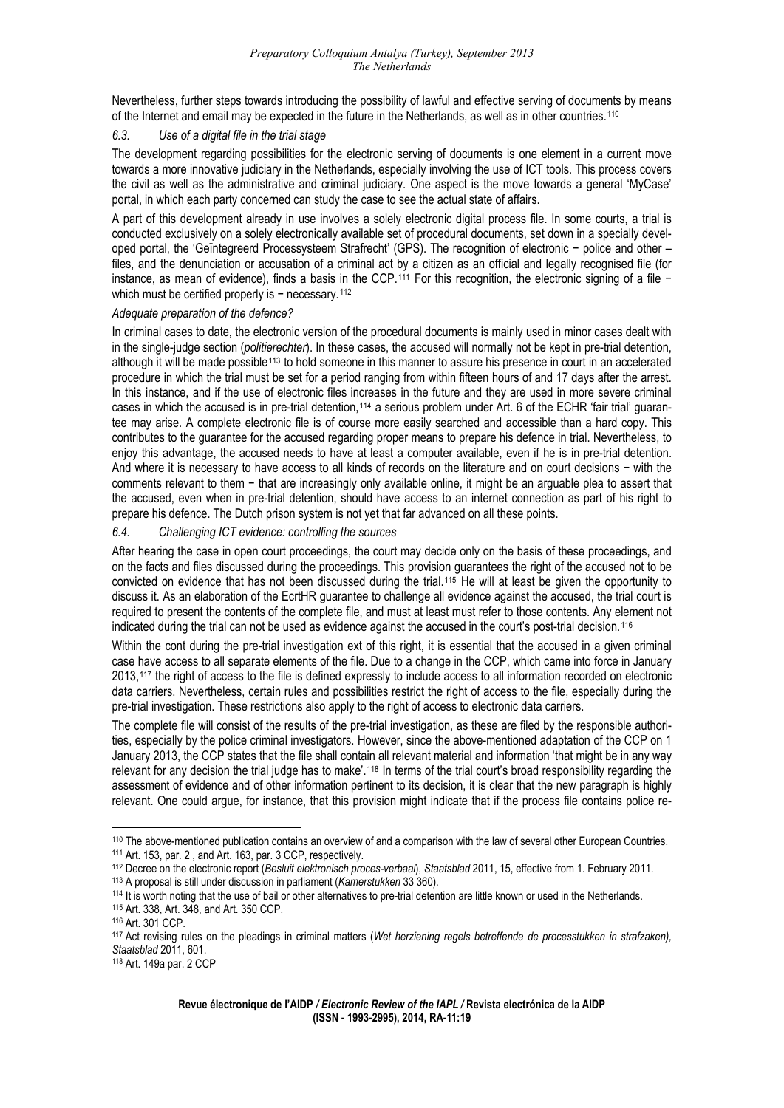Neverthe [less, further steps towards introducing the possibility of lawful and effective serving of documents by means](#page-17-1)  of the Internet and email may be expected in the future in the Netherlands, as well as in other countries.110

#### *6.3. Use of a digital file in the trial stage*

The development regarding possibilities for the electronic serving of documents is one element in a current move towards a more innovative judiciary in the Netherlands, especially involving the use of ICT tools. This process covers the civil as well as the administrative and criminal judiciary. One aspect is the move towards a general 'MyCase' portal, in which each party concerned can study the case to see the actual state of affairs.

conducted exclusively on a solely electronically available set of procedural documents, set down in a specially devel-A part of this development already in use involves a solely electronic digital process file. In some courts, a trial is oped portal, the 'Geïntegreerd Processysteem Strafrecht' (GPS). The recognition of electronic − police and other – files, and the denunciation or accusation of a criminal act by a citizen as an official and legally recognised file (for instance, as mean of evidence), finds a basis in the CCP.[111](#page-18-0) For this recognition, the electronic signing of a file − which must be certified properly is − necessary.<sup>[112](#page-18-1)</sup>

#### *[Adequate preparation of the defence?](#page-18-1)*

[In criminal cases to date, the electronic version of th](#page-18-1)e procedural documents is mainly used in minor cases dealt with in the single-judge section (*politierechter*). In these cases, the accused will normally not be kept in pre-trial detention, although it will be made possible<sup>[113](#page-18-2)</sup> to hold someone in this manner to assure his presence in court in an accelerated procedure in which the trial must be set for a period ranging from within fifteen hours of and 17 days after the arrest. In this instance, and if the use of electronic files increases in the future and they are used in more severe criminal cases in which the accused is in pre-trial detention,<sup>[114](#page-18-3)</sup> a serious problem under Art. 6 of the ECHR 'fair trial' guarantee may arise. A complete electronic file is of course more easily searched and accessible than a hard copy. This contributes to the guarantee for the accused regarding proper means to prepare his defence in trial. Nevertheless, to enjoy this advantage, the accused needs to have at least a computer available, even if he is in pre-trial detention. And where it is necessary to have access to all kinds of records on the literature and on court decisions − with the comments relevant to them − that are increasingly only available online, it might be an arguable plea to assert that the accused, even when in pre-trial detention, should have access to an internet connection as part of his right to prepare his defence. The Dutch prison system is not yet that far advanced on all these points.

## *6.4. Challenging ICT evidence: controlling the sources*

After hearing the case in open court proceedings, the court may decide only on the basis of these proceedings, and on the facts and files discussed during the proceedings. This provision guarantees the right of the accused not to be convicted on evidence that has not been discussed during the trial.[115](#page-18-4) He will at least be given the opportunity to discuss it. As an elaboration of the EcrtHR guarantee to challenge all evidence against the accused, the trial court is required to present the contents of the complete file, and must at least must refer to those contents. Any element not indicated during the trial can not be used as evidence against the accused in the court's post-trial decision.[116](#page-18-5)

[case have access to all separate elements of the file. Due to a change in the CCP, which came into force in Janu](#page-18-5)ary Within the cont during the pre-trial investigation ext of this right, it is essential that the accused in a given criminal 2013,[117](#page-18-6) the right of access to the file is defined expressly to include access to all information recorded on electronic data carriers. Nevertheless, certain rules and possibilities restrict the right of access to the file, especially during the pre-trial investigation. These restrictions also apply to the right of access to electronic data carriers.

ties, especially by the police criminal investigators. However, since the above-mentioned adaptation of the CCP on 1 The complete file will consist of the results of the pre-trial investigation, as these are filed by the responsible authori-January 2013, the CCP states that the file shall contain all relevant material and information 'that might be in any way relevant for any decision the trial judge has to make'.[118](#page-18-7) In terms of the trial court's broad responsibility regarding the assessment of evidence and of other information pertinent to its decision, it is clear that the new paragraph is highly relevant. One could argue, for instance, that this provision might indicate that if the process file contains police re-

<span id="page-18-0"></span><sup>&</sup>lt;sup>110</sup> The above-mentioned publication contains an overview of and a comparison with the law of several other European Countries.<br><sup>111</sup> Art. 153, par. 2, and Art. 163, par. 3 CCP, respectively. <sup>111</sup> Art. 153, par. 2 , and Art. 163, par. 3 CCP, respectively.<br><sup>112</sup> Decree on the electronic report (*Besluit elektronisch proces-verbaal*), *Staatsblad 2*011, 15, effective from 1. February 2011.

<span id="page-18-1"></span>

<span id="page-18-2"></span><sup>&</sup>lt;sup>113</sup> A proposal is still under discussion in parliament (*Kamerstukken* 33 360).<br><sup>114</sup> It is worth noting that the use of bail or other alternatives to pre-trial detention are little known or used in the Netherlands.

<span id="page-18-6"></span>

<span id="page-18-5"></span><span id="page-18-4"></span><span id="page-18-3"></span><sup>&</sup>lt;sup>115</sup> Art. 338, Art. 348, and Art. 350 CCP.<br><sup>116</sup> Art. 301 CCP.<br><sup>117</sup> Act revising rules on the pleadings in criminal matters (*Wet herziening regels betreffende de processtukken in strafzaken), Staatsblad* 2011, 601. 118 Art. 149a par. 2 CCP

<span id="page-18-7"></span>